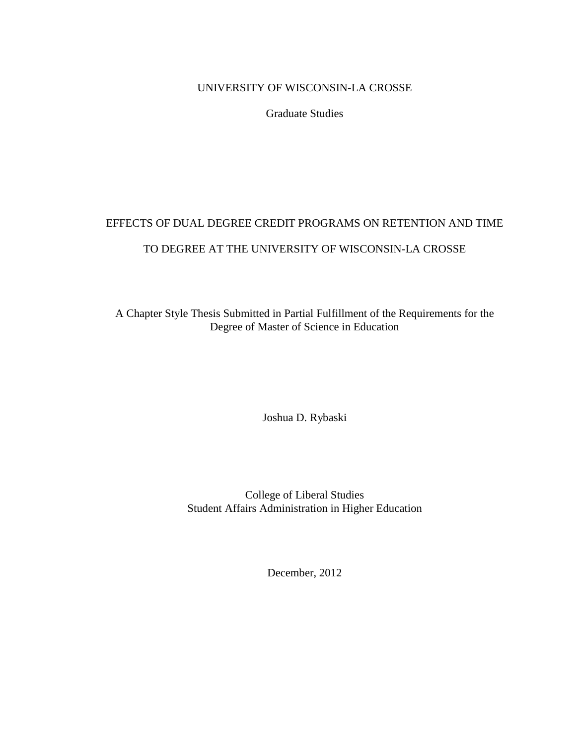# UNIVERSITY OF WISCONSIN-LA CROSSE

Graduate Studies

# EFFECTS OF DUAL DEGREE CREDIT PROGRAMS ON RETENTION AND TIME TO DEGREE AT THE UNIVERSITY OF WISCONSIN-LA CROSSE

A Chapter Style Thesis Submitted in Partial Fulfillment of the Requirements for the Degree of Master of Science in Education

Joshua D. Rybaski

College of Liberal Studies Student Affairs Administration in Higher Education

December, 2012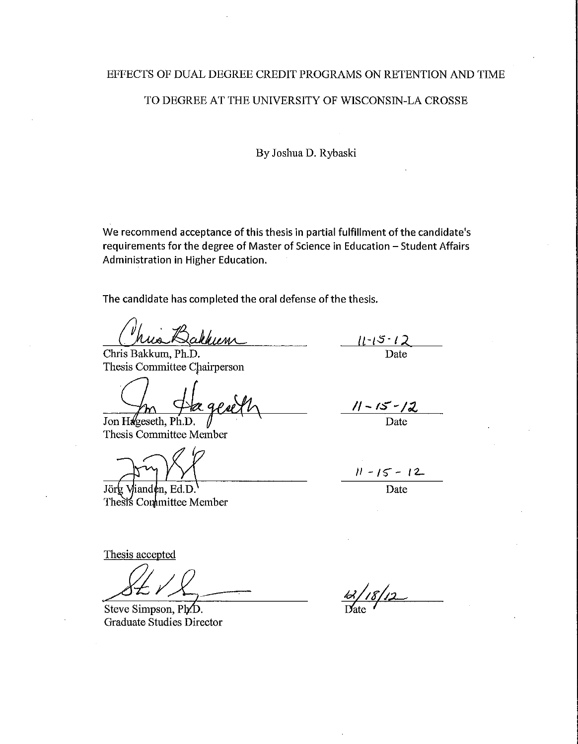# EFFECTS OF DUAL DEGREE CREDIT PROGRAMS ON RETENTION AND TIME

#### TO DEGREE AT THE UNIVERSITY OF WISCONSIN-LA CROSSE

By Joshua D. Rybaski

We recommend acceptance of this thesis in partial fulfillment of the candidate's requirements for the degree of Master of Science in Education - Student Affairs Administration in Higher Education.

The candidate has completed the oral defense of the thesis.

Chris Bakkum, Ph.D. Thesis Committee Chairperson

Jon Hageseth, Ph.D.

Thesis Committee Member

Vianden, Ed.D. Jorg Thesis Committee Member

 $\frac{11 - 15 - 12}{\text{Date}}$ 

<u>1-15-12</u>

Date

 $11 - 15 - 12$ 

 $\overline{Date}$ 

Thesis accepted

Steve Simpson, Ph/D. Graduate Studies Director

<u>| 18 | 12 |</u>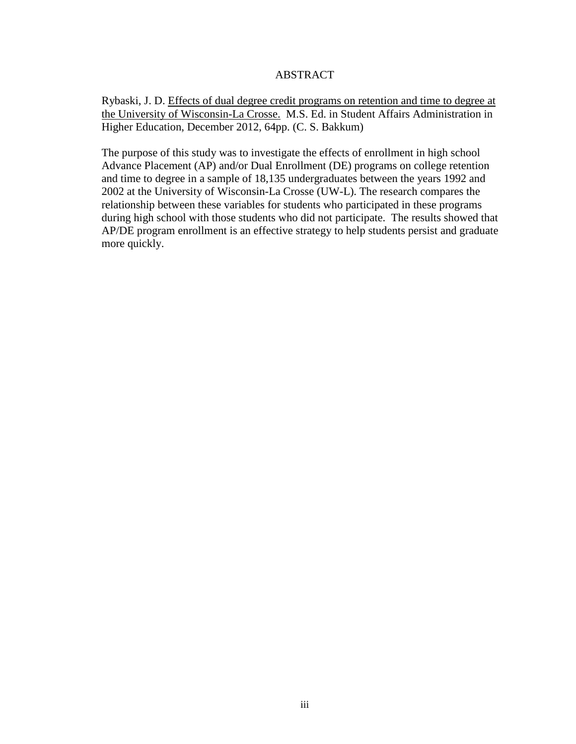# ABSTRACT

Rybaski, J. D. Effects of dual degree credit programs on retention and time to degree at the University of Wisconsin-La Crosse. M.S. Ed. in Student Affairs Administration in Higher Education, December 2012, 64pp. (C. S. Bakkum)

The purpose of this study was to investigate the effects of enrollment in high school Advance Placement (AP) and/or Dual Enrollment (DE) programs on college retention and time to degree in a sample of 18,135 undergraduates between the years 1992 and 2002 at the University of Wisconsin-La Crosse (UW-L). The research compares the relationship between these variables for students who participated in these programs during high school with those students who did not participate. The results showed that AP/DE program enrollment is an effective strategy to help students persist and graduate more quickly.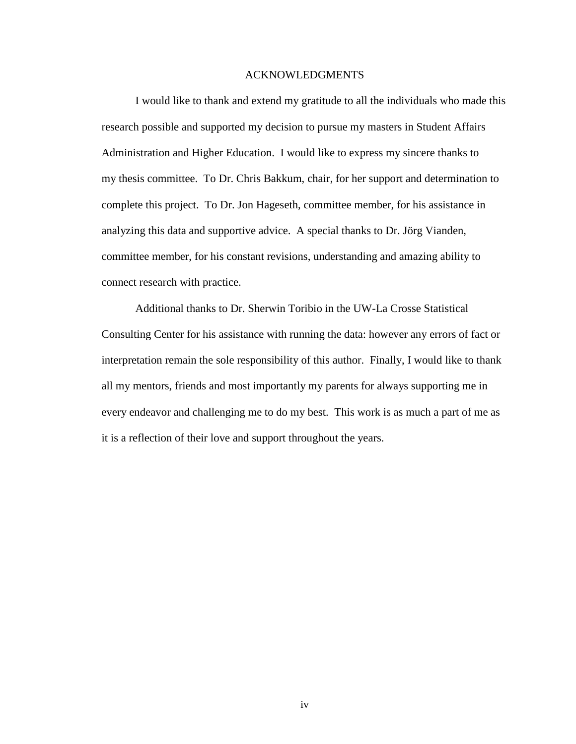#### ACKNOWLEDGMENTS

I would like to thank and extend my gratitude to all the individuals who made this research possible and supported my decision to pursue my masters in Student Affairs Administration and Higher Education. I would like to express my sincere thanks to my thesis committee. To Dr. Chris Bakkum, chair, for her support and determination to complete this project. To Dr. Jon Hageseth, committee member, for his assistance in analyzing this data and supportive advice. A special thanks to Dr. Jörg Vianden, committee member, for his constant revisions, understanding and amazing ability to connect research with practice.

Additional thanks to Dr. Sherwin Toribio in the UW-La Crosse Statistical Consulting Center for his assistance with running the data: however any errors of fact or interpretation remain the sole responsibility of this author. Finally, I would like to thank all my mentors, friends and most importantly my parents for always supporting me in every endeavor and challenging me to do my best. This work is as much a part of me as it is a reflection of their love and support throughout the years.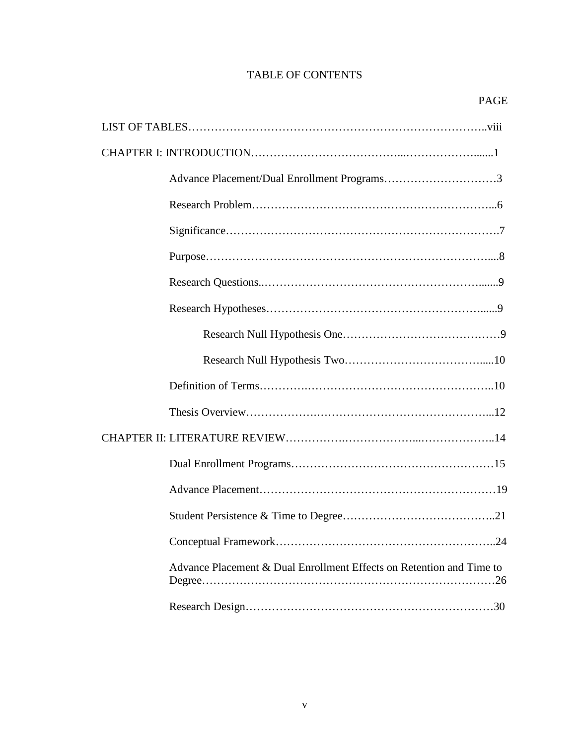# TABLE OF CONTENTS

| Advance Placement & Dual Enrollment Effects on Retention and Time to |
|----------------------------------------------------------------------|
|                                                                      |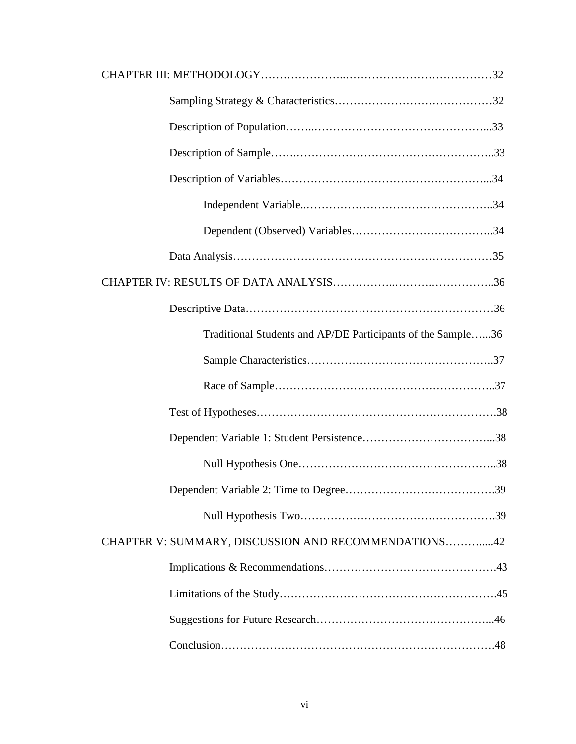| Traditional Students and AP/DE Participants of the Sample36 |
|-------------------------------------------------------------|
|                                                             |
|                                                             |
|                                                             |
|                                                             |
|                                                             |
|                                                             |
|                                                             |
| CHAPTER V: SUMMARY, DISCUSSION AND RECOMMENDATIONS42        |
|                                                             |
|                                                             |
|                                                             |
|                                                             |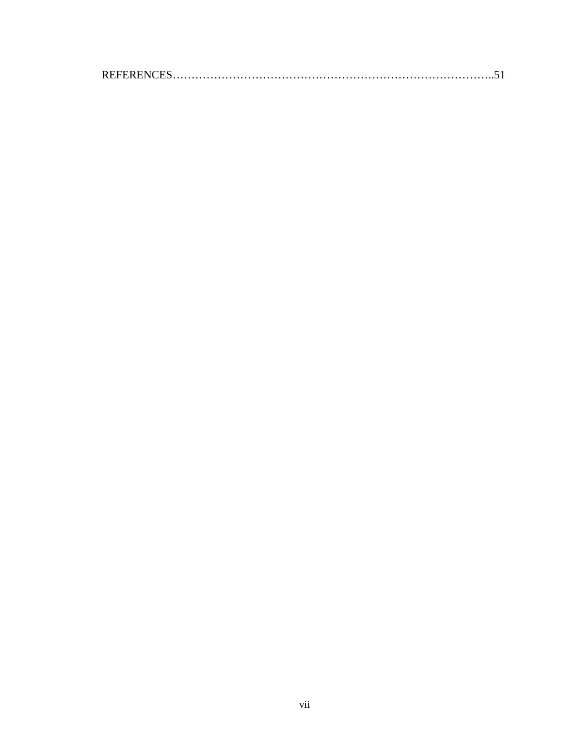|--|--|--|--|--|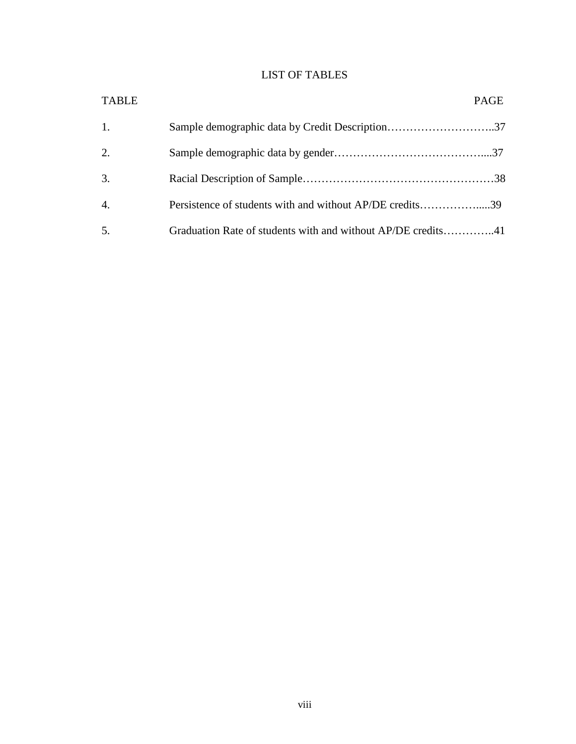# LIST OF TABLES

| <b>TABLE</b>     |                                                              | <b>PAGE</b> |
|------------------|--------------------------------------------------------------|-------------|
| 1.               |                                                              |             |
| 2.               |                                                              |             |
| 3.               |                                                              |             |
| $\overline{4}$ . | Persistence of students with and without AP/DE credits39     |             |
| 5.               | Graduation Rate of students with and without AP/DE credits41 |             |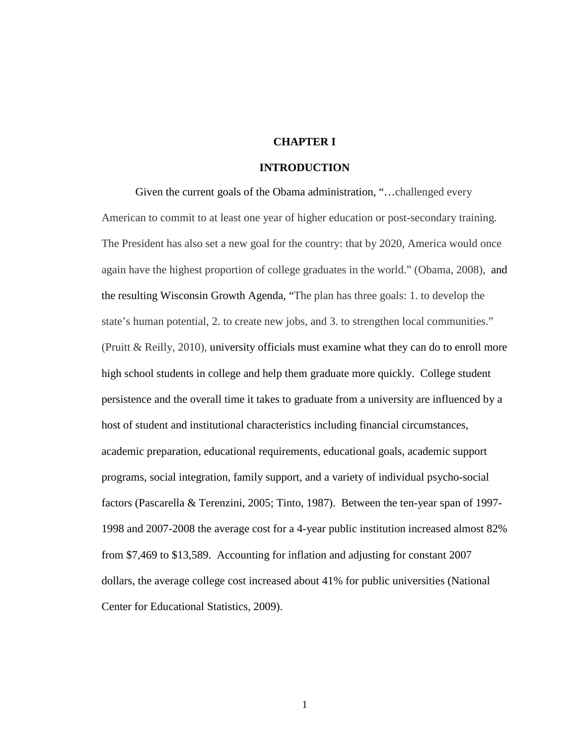# **CHAPTER I**

# **INTRODUCTION**

Given the current goals of the Obama administration, "…challenged every American to commit to at least one year of higher education or post-secondary training. The President has also set a new goal for the country: that by 2020, America would once again have the highest proportion of college graduates in the world." (Obama, 2008), and the resulting Wisconsin Growth Agenda, "The plan has three goals: 1. to develop the state's human potential, 2. to create new jobs, and 3. to strengthen local communities." (Pruitt & Reilly, 2010), university officials must examine what they can do to enroll more high school students in college and help them graduate more quickly. College student persistence and the overall time it takes to graduate from a university are influenced by a host of student and institutional characteristics including financial circumstances, academic preparation, educational requirements, educational goals, academic support programs, social integration, family support, and a variety of individual psycho-social factors (Pascarella & Terenzini, 2005; Tinto, 1987). Between the ten-year span of 1997- 1998 and 2007-2008 the average cost for a 4-year public institution increased almost 82% from \$7,469 to \$13,589. Accounting for inflation and adjusting for constant 2007 dollars, the average college cost increased about 41% for public universities (National Center for Educational Statistics, 2009).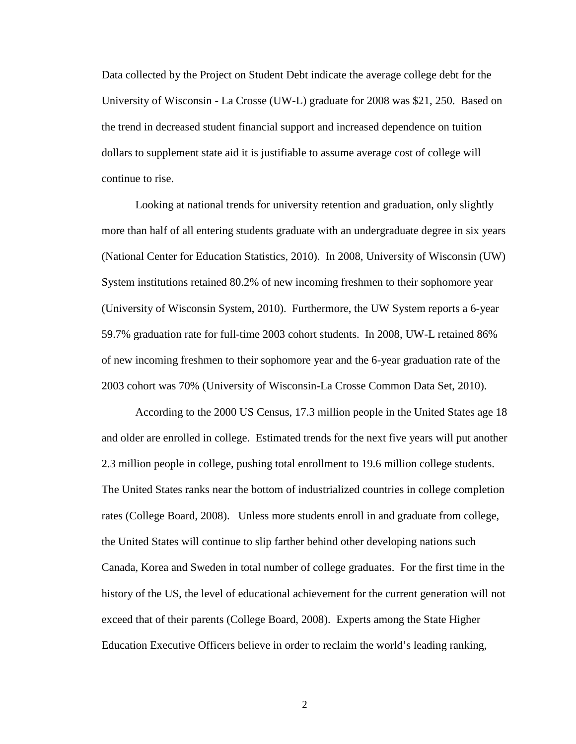Data collected by the Project on Student Debt indicate the average college debt for the University of Wisconsin - La Crosse (UW-L) graduate for 2008 was \$21, 250. Based on the trend in decreased student financial support and increased dependence on tuition dollars to supplement state aid it is justifiable to assume average cost of college will continue to rise.

Looking at national trends for university retention and graduation, only slightly more than half of all entering students graduate with an undergraduate degree in six years (National Center for Education Statistics, 2010). In 2008, University of Wisconsin (UW) System institutions retained 80.2% of new incoming freshmen to their sophomore year (University of Wisconsin System, 2010). Furthermore, the UW System reports a 6-year 59.7% graduation rate for full-time 2003 cohort students. In 2008, UW-L retained 86% of new incoming freshmen to their sophomore year and the 6-year graduation rate of the 2003 cohort was 70% (University of Wisconsin-La Crosse Common Data Set, 2010).

According to the 2000 US Census, 17.3 million people in the United States age 18 and older are enrolled in college. Estimated trends for the next five years will put another 2.3 million people in college, pushing total enrollment to 19.6 million college students. The United States ranks near the bottom of industrialized countries in college completion rates (College Board, 2008). Unless more students enroll in and graduate from college, the United States will continue to slip farther behind other developing nations such Canada, Korea and Sweden in total number of college graduates. For the first time in the history of the US, the level of educational achievement for the current generation will not exceed that of their parents (College Board, 2008). Experts among the State Higher Education Executive Officers believe in order to reclaim the world's leading ranking,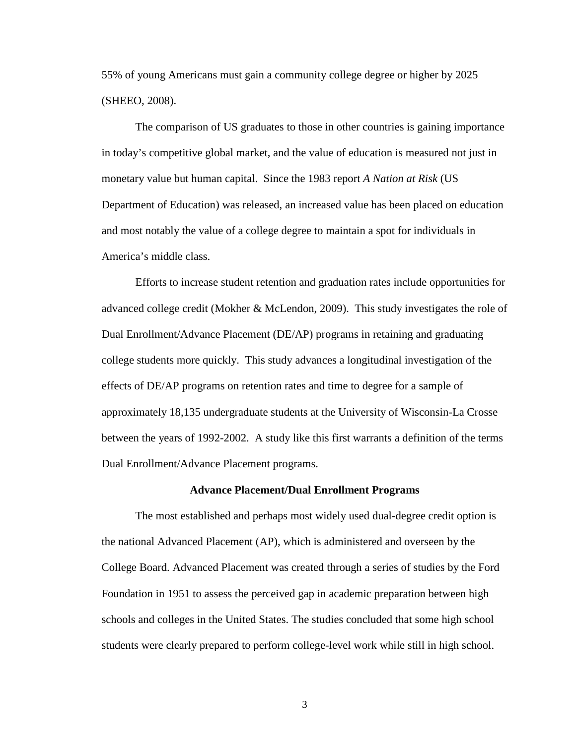55% of young Americans must gain a community college degree or higher by 2025 (SHEEO, 2008).

The comparison of US graduates to those in other countries is gaining importance in today's competitive global market, and the value of education is measured not just in monetary value but human capital. Since the 1983 report *A Nation at Risk* (US Department of Education) was released, an increased value has been placed on education and most notably the value of a college degree to maintain a spot for individuals in America's middle class.

Efforts to increase student retention and graduation rates include opportunities for advanced college credit (Mokher & McLendon, 2009). This study investigates the role of Dual Enrollment/Advance Placement (DE/AP) programs in retaining and graduating college students more quickly. This study advances a longitudinal investigation of the effects of DE/AP programs on retention rates and time to degree for a sample of approximately 18,135 undergraduate students at the University of Wisconsin-La Crosse between the years of 1992-2002. A study like this first warrants a definition of the terms Dual Enrollment/Advance Placement programs.

## **Advance Placement/Dual Enrollment Programs**

The most established and perhaps most widely used dual-degree credit option is the national Advanced Placement (AP), which is administered and overseen by the College Board. Advanced Placement was created through a series of studies by the Ford Foundation in 1951 to assess the perceived gap in academic preparation between high schools and colleges in the United States. The studies concluded that some high school students were clearly prepared to perform college-level work while still in high school.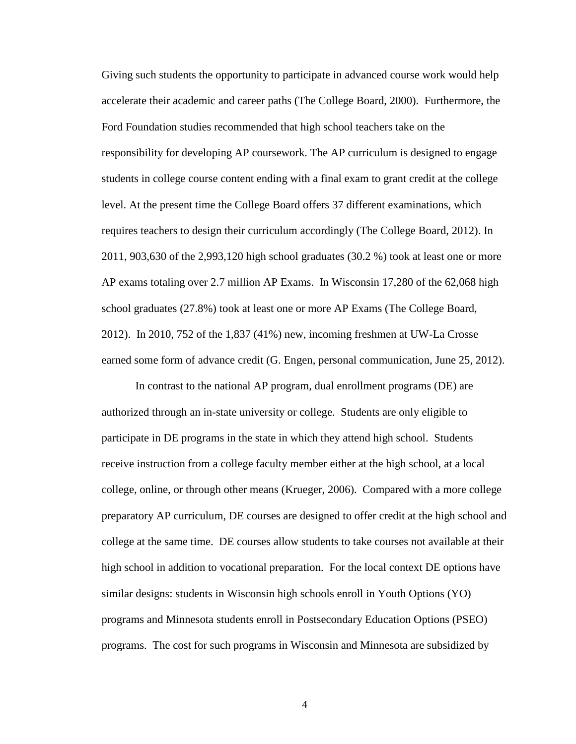Giving such students the opportunity to participate in advanced course work would help accelerate their academic and career paths (The College Board, 2000). Furthermore, the Ford Foundation studies recommended that high school teachers take on the responsibility for developing AP coursework. The AP curriculum is designed to engage students in college course content ending with a final exam to grant credit at the college level. At the present time the College Board offers 37 different examinations, which requires teachers to design their curriculum accordingly (The College Board, 2012). In 2011, 903,630 of the 2,993,120 high school graduates (30.2 %) took at least one or more AP exams totaling over 2.7 million AP Exams. In Wisconsin 17,280 of the 62,068 high school graduates (27.8%) took at least one or more AP Exams (The College Board, 2012). In 2010, 752 of the 1,837 (41%) new, incoming freshmen at UW-La Crosse earned some form of advance credit (G. Engen, personal communication, June 25, 2012).

In contrast to the national AP program, dual enrollment programs (DE) are authorized through an in-state university or college. Students are only eligible to participate in DE programs in the state in which they attend high school. Students receive instruction from a college faculty member either at the high school, at a local college, online, or through other means (Krueger, 2006). Compared with a more college preparatory AP curriculum, DE courses are designed to offer credit at the high school and college at the same time. DE courses allow students to take courses not available at their high school in addition to vocational preparation. For the local context DE options have similar designs: students in Wisconsin high schools enroll in Youth Options (YO) programs and Minnesota students enroll in Postsecondary Education Options (PSEO) programs. The cost for such programs in Wisconsin and Minnesota are subsidized by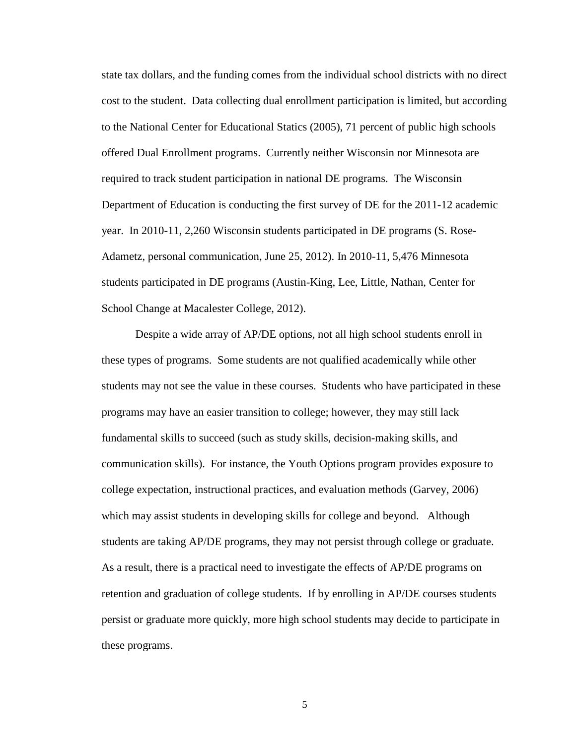state tax dollars, and the funding comes from the individual school districts with no direct cost to the student. Data collecting dual enrollment participation is limited, but according to the National Center for Educational Statics (2005), 71 percent of public high schools offered Dual Enrollment programs. Currently neither Wisconsin nor Minnesota are required to track student participation in national DE programs. The Wisconsin Department of Education is conducting the first survey of DE for the 2011-12 academic year. In 2010-11, 2,260 Wisconsin students participated in DE programs (S. Rose-Adametz, personal communication, June 25, 2012). In 2010-11, 5,476 Minnesota students participated in DE programs (Austin-King, Lee, Little, Nathan, Center for School Change at Macalester College, 2012).

Despite a wide array of AP/DE options, not all high school students enroll in these types of programs. Some students are not qualified academically while other students may not see the value in these courses. Students who have participated in these programs may have an easier transition to college; however, they may still lack fundamental skills to succeed (such as study skills, decision-making skills, and communication skills). For instance, the Youth Options program provides exposure to college expectation, instructional practices, and evaluation methods (Garvey, 2006) which may assist students in developing skills for college and beyond. Although students are taking AP/DE programs, they may not persist through college or graduate. As a result, there is a practical need to investigate the effects of AP/DE programs on retention and graduation of college students. If by enrolling in AP/DE courses students persist or graduate more quickly, more high school students may decide to participate in these programs.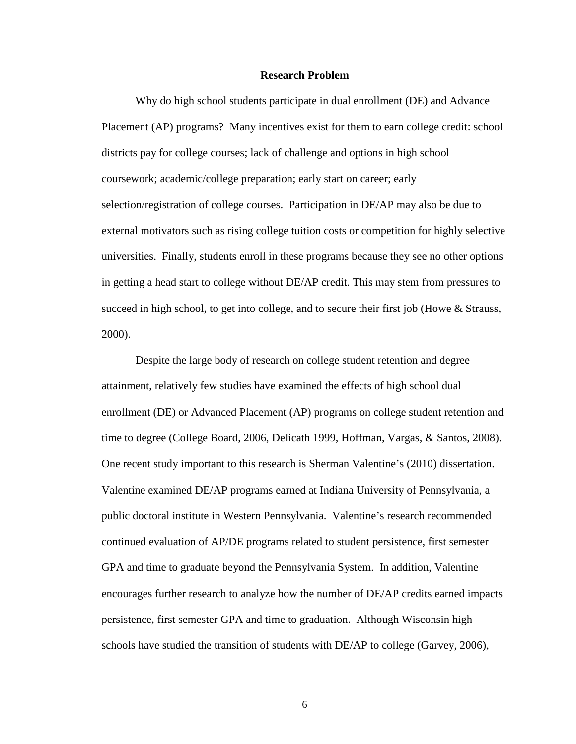#### **Research Problem**

Why do high school students participate in dual enrollment (DE) and Advance Placement (AP) programs? Many incentives exist for them to earn college credit: school districts pay for college courses; lack of challenge and options in high school coursework; academic/college preparation; early start on career; early selection/registration of college courses. Participation in DE/AP may also be due to external motivators such as rising college tuition costs or competition for highly selective universities. Finally, students enroll in these programs because they see no other options in getting a head start to college without DE/AP credit. This may stem from pressures to succeed in high school, to get into college, and to secure their first job (Howe & Strauss, 2000).

Despite the large body of research on college student retention and degree attainment, relatively few studies have examined the effects of high school dual enrollment (DE) or Advanced Placement (AP) programs on college student retention and time to degree (College Board, 2006, Delicath 1999, Hoffman, Vargas, & Santos, 2008). One recent study important to this research is Sherman Valentine's (2010) dissertation. Valentine examined DE/AP programs earned at Indiana University of Pennsylvania, a public doctoral institute in Western Pennsylvania. Valentine's research recommended continued evaluation of AP/DE programs related to student persistence, first semester GPA and time to graduate beyond the Pennsylvania System. In addition, Valentine encourages further research to analyze how the number of DE/AP credits earned impacts persistence, first semester GPA and time to graduation. Although Wisconsin high schools have studied the transition of students with DE/AP to college (Garvey, 2006),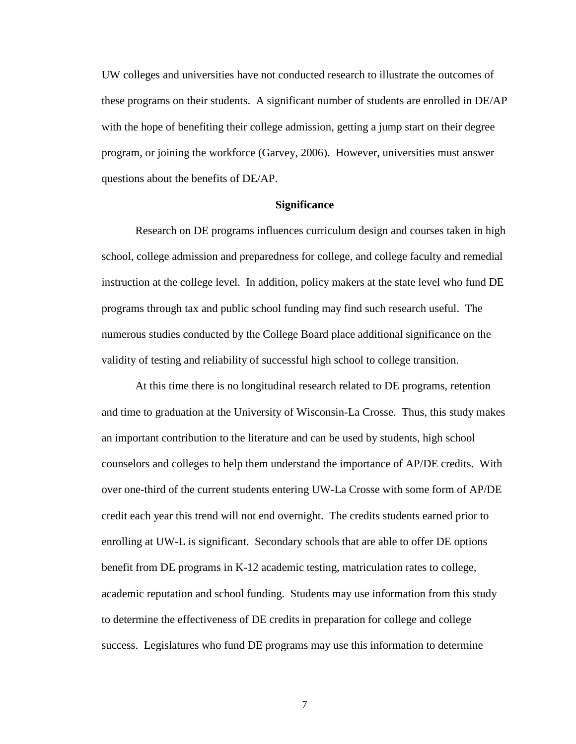UW colleges and universities have not conducted research to illustrate the outcomes of these programs on their students. A significant number of students are enrolled in DE/AP with the hope of benefiting their college admission, getting a jump start on their degree program, or joining the workforce (Garvey, 2006). However, universities must answer questions about the benefits of DE/AP.

#### **Significance**

Research on DE programs influences curriculum design and courses taken in high school, college admission and preparedness for college, and college faculty and remedial instruction at the college level. In addition, policy makers at the state level who fund DE programs through tax and public school funding may find such research useful. The numerous studies conducted by the College Board place additional significance on the validity of testing and reliability of successful high school to college transition.

At this time there is no longitudinal research related to DE programs, retention and time to graduation at the University of Wisconsin-La Crosse. Thus, this study makes an important contribution to the literature and can be used by students, high school counselors and colleges to help them understand the importance of AP/DE credits. With over one-third of the current students entering UW-La Crosse with some form of AP/DE credit each year this trend will not end overnight. The credits students earned prior to enrolling at UW-L is significant. Secondary schools that are able to offer DE options benefit from DE programs in K-12 academic testing, matriculation rates to college, academic reputation and school funding. Students may use information from this study to determine the effectiveness of DE credits in preparation for college and college success. Legislatures who fund DE programs may use this information to determine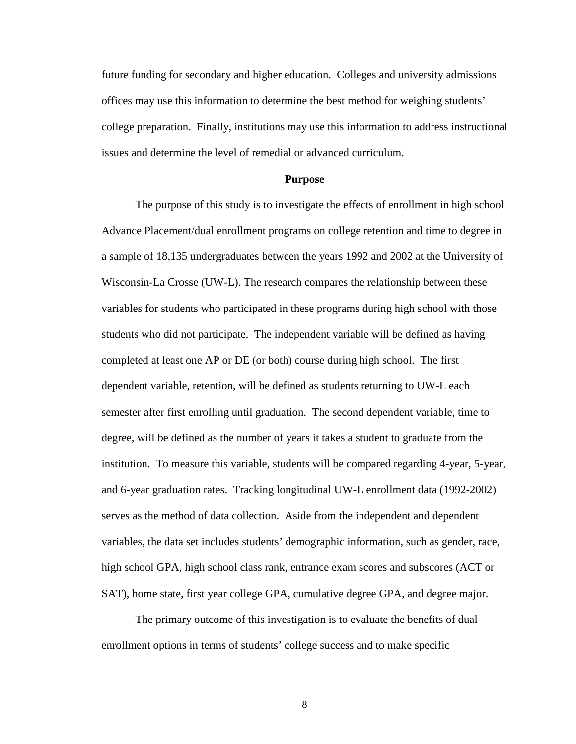future funding for secondary and higher education. Colleges and university admissions offices may use this information to determine the best method for weighing students' college preparation. Finally, institutions may use this information to address instructional issues and determine the level of remedial or advanced curriculum.

#### **Purpose**

The purpose of this study is to investigate the effects of enrollment in high school Advance Placement/dual enrollment programs on college retention and time to degree in a sample of 18,135 undergraduates between the years 1992 and 2002 at the University of Wisconsin-La Crosse (UW-L). The research compares the relationship between these variables for students who participated in these programs during high school with those students who did not participate. The independent variable will be defined as having completed at least one AP or DE (or both) course during high school. The first dependent variable, retention, will be defined as students returning to UW-L each semester after first enrolling until graduation. The second dependent variable, time to degree, will be defined as the number of years it takes a student to graduate from the institution. To measure this variable, students will be compared regarding 4-year, 5-year, and 6-year graduation rates. Tracking longitudinal UW-L enrollment data (1992-2002) serves as the method of data collection. Aside from the independent and dependent variables, the data set includes students' demographic information, such as gender, race, high school GPA, high school class rank, entrance exam scores and subscores (ACT or SAT), home state, first year college GPA, cumulative degree GPA, and degree major.

The primary outcome of this investigation is to evaluate the benefits of dual enrollment options in terms of students' college success and to make specific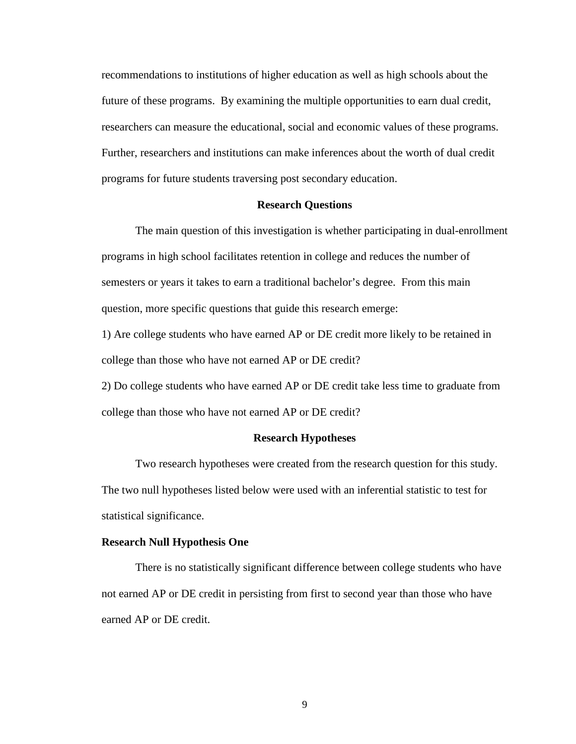recommendations to institutions of higher education as well as high schools about the future of these programs. By examining the multiple opportunities to earn dual credit, researchers can measure the educational, social and economic values of these programs. Further, researchers and institutions can make inferences about the worth of dual credit programs for future students traversing post secondary education.

#### **Research Questions**

The main question of this investigation is whether participating in dual-enrollment programs in high school facilitates retention in college and reduces the number of semesters or years it takes to earn a traditional bachelor's degree. From this main question, more specific questions that guide this research emerge:

1) Are college students who have earned AP or DE credit more likely to be retained in college than those who have not earned AP or DE credit?

2) Do college students who have earned AP or DE credit take less time to graduate from college than those who have not earned AP or DE credit?

# **Research Hypotheses**

Two research hypotheses were created from the research question for this study. The two null hypotheses listed below were used with an inferential statistic to test for statistical significance.

# **Research Null Hypothesis One**

There is no statistically significant difference between college students who have not earned AP or DE credit in persisting from first to second year than those who have earned AP or DE credit.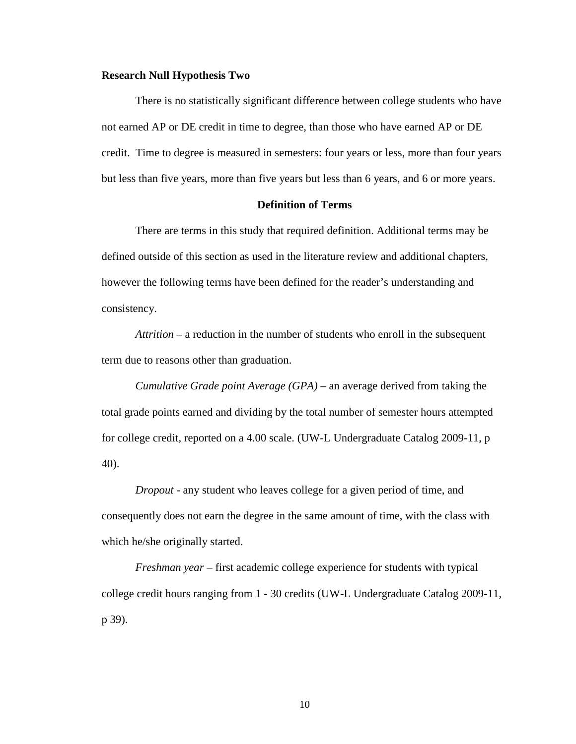#### **Research Null Hypothesis Two**

There is no statistically significant difference between college students who have not earned AP or DE credit in time to degree, than those who have earned AP or DE credit. Time to degree is measured in semesters: four years or less, more than four years but less than five years, more than five years but less than 6 years, and 6 or more years.

#### **Definition of Terms**

There are terms in this study that required definition. Additional terms may be defined outside of this section as used in the literature review and additional chapters, however the following terms have been defined for the reader's understanding and consistency.

*Attrition* – a reduction in the number of students who enroll in the subsequent term due to reasons other than graduation.

*Cumulative Grade point Average (GPA)* – an average derived from taking the total grade points earned and dividing by the total number of semester hours attempted for college credit, reported on a 4.00 scale. (UW-L Undergraduate Catalog 2009-11, p 40).

*Dropout -* any student who leaves college for a given period of time, and consequently does not earn the degree in the same amount of time, with the class with which he/she originally started.

*Freshman year* – first academic college experience for students with typical college credit hours ranging from 1 - 30 credits (UW-L Undergraduate Catalog 2009-11, p 39).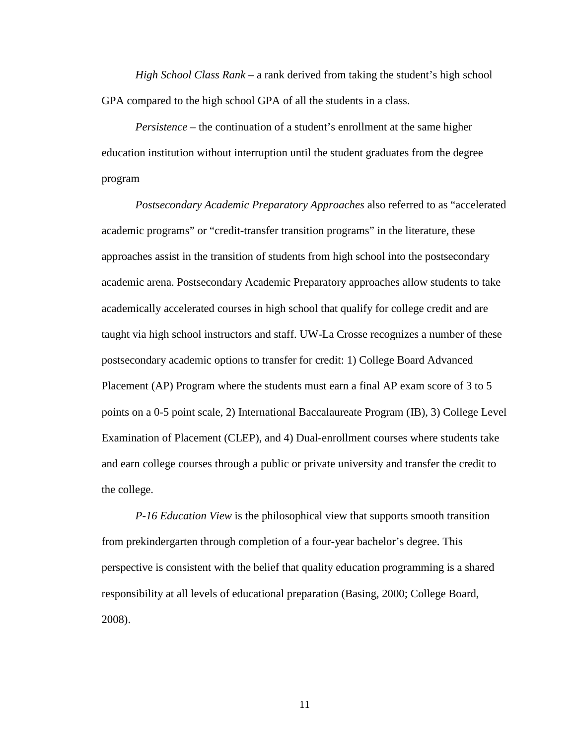*High School Class Rank* – a rank derived from taking the student's high school GPA compared to the high school GPA of all the students in a class.

*Persistence –* the continuation of a student's enrollment at the same higher education institution without interruption until the student graduates from the degree program

*Postsecondary Academic Preparatory Approaches* also referred to as "accelerated academic programs" or "credit-transfer transition programs" in the literature, these approaches assist in the transition of students from high school into the postsecondary academic arena. Postsecondary Academic Preparatory approaches allow students to take academically accelerated courses in high school that qualify for college credit and are taught via high school instructors and staff. UW-La Crosse recognizes a number of these postsecondary academic options to transfer for credit: 1) College Board Advanced Placement (AP) Program where the students must earn a final AP exam score of 3 to 5 points on a 0-5 point scale, 2) International Baccalaureate Program (IB), 3) College Level Examination of Placement (CLEP), and 4) Dual-enrollment courses where students take and earn college courses through a public or private university and transfer the credit to the college.

*P-16 Education View* is the philosophical view that supports smooth transition from prekindergarten through completion of a four-year bachelor's degree. This perspective is consistent with the belief that quality education programming is a shared responsibility at all levels of educational preparation (Basing, 2000; College Board, 2008).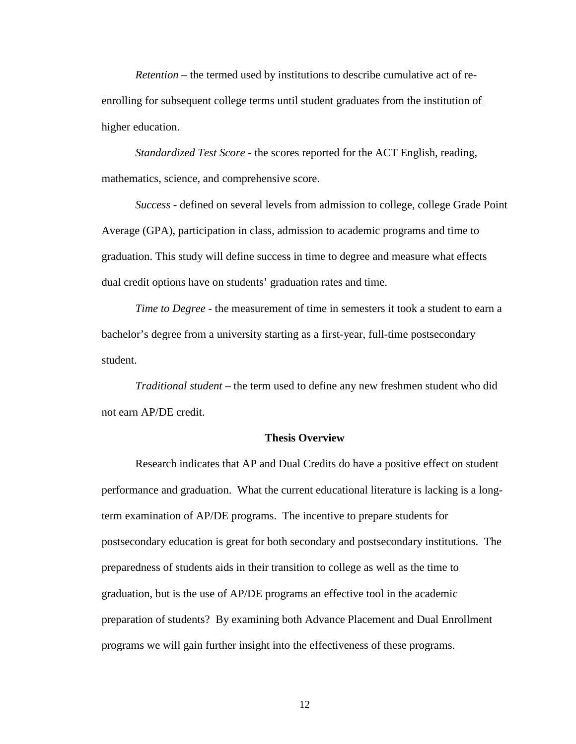*Retention –* the termed used by institutions to describe cumulative act of reenrolling for subsequent college terms until student graduates from the institution of higher education.

*Standardized Test Score* - the scores reported for the ACT English, reading, mathematics, science, and comprehensive score.

*Success* - defined on several levels from admission to college, college Grade Point Average (GPA), participation in class, admission to academic programs and time to graduation. This study will define success in time to degree and measure what effects dual credit options have on students' graduation rates and time.

*Time to Degree* - the measurement of time in semesters it took a student to earn a bachelor's degree from a university starting as a first-year, full-time postsecondary student.

*Traditional student* – the term used to define any new freshmen student who did not earn AP/DE credit.

#### **Thesis Overview**

Research indicates that AP and Dual Credits do have a positive effect on student performance and graduation. What the current educational literature is lacking is a longterm examination of AP/DE programs. The incentive to prepare students for postsecondary education is great for both secondary and postsecondary institutions. The preparedness of students aids in their transition to college as well as the time to graduation, but is the use of AP/DE programs an effective tool in the academic preparation of students? By examining both Advance Placement and Dual Enrollment programs we will gain further insight into the effectiveness of these programs.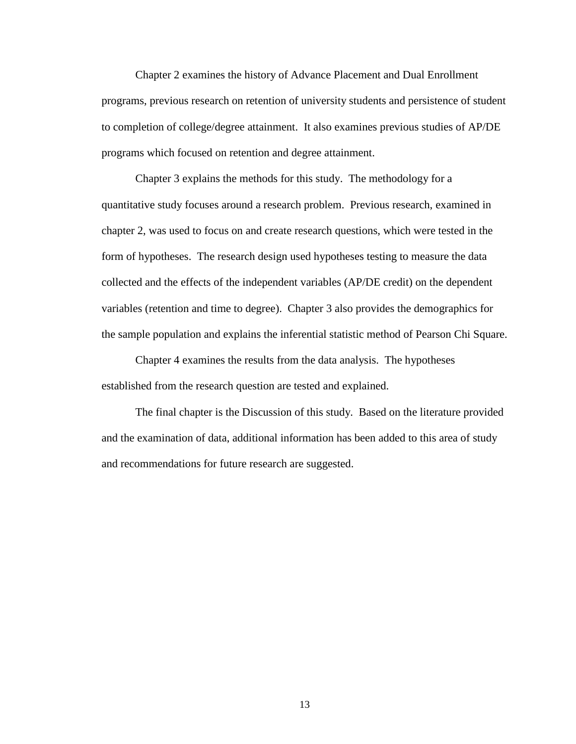Chapter 2 examines the history of Advance Placement and Dual Enrollment programs, previous research on retention of university students and persistence of student to completion of college/degree attainment. It also examines previous studies of AP/DE programs which focused on retention and degree attainment.

Chapter 3 explains the methods for this study. The methodology for a quantitative study focuses around a research problem. Previous research, examined in chapter 2, was used to focus on and create research questions, which were tested in the form of hypotheses. The research design used hypotheses testing to measure the data collected and the effects of the independent variables (AP/DE credit) on the dependent variables (retention and time to degree). Chapter 3 also provides the demographics for the sample population and explains the inferential statistic method of Pearson Chi Square.

Chapter 4 examines the results from the data analysis. The hypotheses established from the research question are tested and explained.

The final chapter is the Discussion of this study. Based on the literature provided and the examination of data, additional information has been added to this area of study and recommendations for future research are suggested.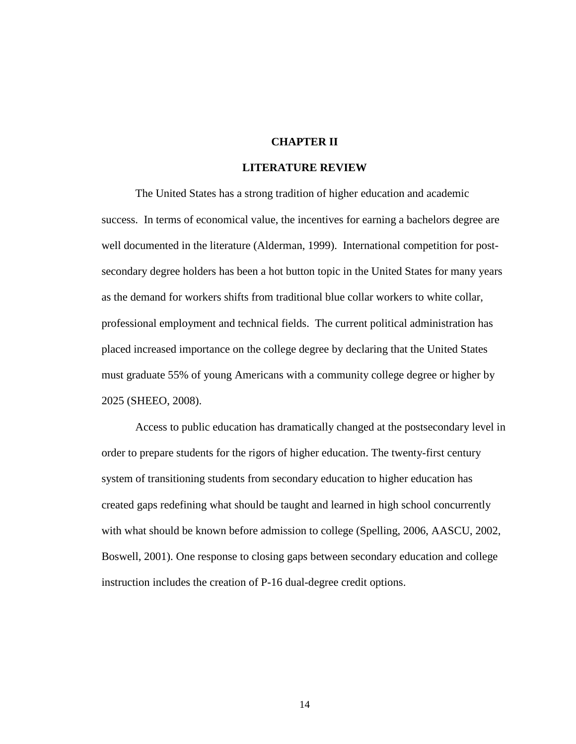# **CHAPTER II**

#### **LITERATURE REVIEW**

The United States has a strong tradition of higher education and academic success. In terms of economical value, the incentives for earning a bachelors degree are well documented in the literature (Alderman, 1999). International competition for postsecondary degree holders has been a hot button topic in the United States for many years as the demand for workers shifts from traditional blue collar workers to white collar, professional employment and technical fields. The current political administration has placed increased importance on the college degree by declaring that the United States must graduate 55% of young Americans with a community college degree or higher by 2025 (SHEEO, 2008).

Access to public education has dramatically changed at the postsecondary level in order to prepare students for the rigors of higher education. The twenty-first century system of transitioning students from secondary education to higher education has created gaps redefining what should be taught and learned in high school concurrently with what should be known before admission to college (Spelling, 2006, AASCU, 2002, Boswell, 2001). One response to closing gaps between secondary education and college instruction includes the creation of P-16 dual-degree credit options.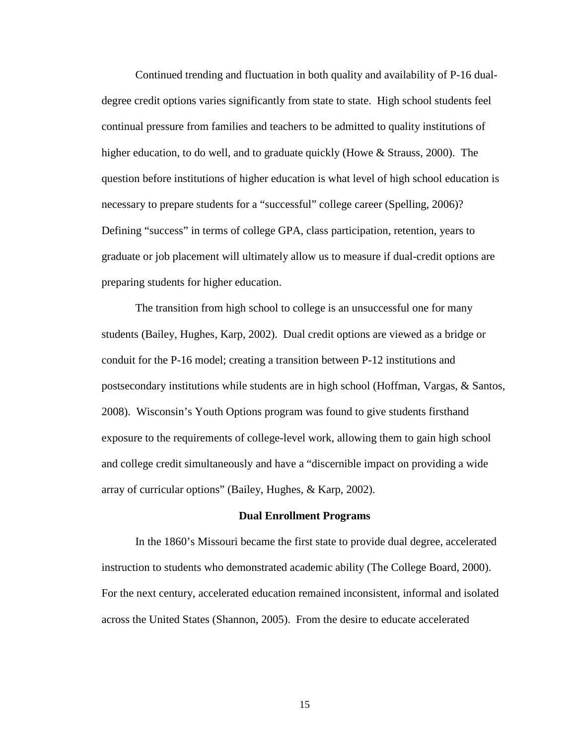Continued trending and fluctuation in both quality and availability of P-16 dualdegree credit options varies significantly from state to state. High school students feel continual pressure from families and teachers to be admitted to quality institutions of higher education, to do well, and to graduate quickly (Howe & Strauss, 2000). The question before institutions of higher education is what level of high school education is necessary to prepare students for a "successful" college career (Spelling, 2006)? Defining "success" in terms of college GPA, class participation, retention, years to graduate or job placement will ultimately allow us to measure if dual-credit options are preparing students for higher education.

The transition from high school to college is an unsuccessful one for many students (Bailey, Hughes, Karp, 2002). Dual credit options are viewed as a bridge or conduit for the P-16 model; creating a transition between P-12 institutions and postsecondary institutions while students are in high school (Hoffman, Vargas, & Santos, 2008). Wisconsin's Youth Options program was found to give students firsthand exposure to the requirements of college-level work, allowing them to gain high school and college credit simultaneously and have a "discernible impact on providing a wide array of curricular options" (Bailey, Hughes, & Karp, 2002).

#### **Dual Enrollment Programs**

In the 1860's Missouri became the first state to provide dual degree, accelerated instruction to students who demonstrated academic ability (The College Board, 2000). For the next century, accelerated education remained inconsistent, informal and isolated across the United States (Shannon, 2005). From the desire to educate accelerated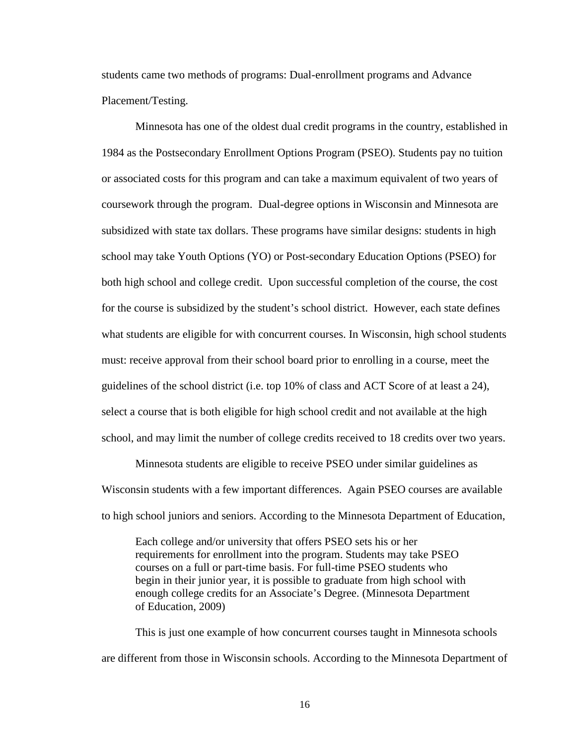students came two methods of programs: Dual-enrollment programs and Advance Placement/Testing.

Minnesota has one of the oldest dual credit programs in the country, established in 1984 as the Postsecondary Enrollment Options Program (PSEO). Students pay no tuition or associated costs for this program and can take a maximum equivalent of two years of coursework through the program. Dual-degree options in Wisconsin and Minnesota are subsidized with state tax dollars. These programs have similar designs: students in high school may take Youth Options (YO) or Post-secondary Education Options (PSEO) for both high school and college credit. Upon successful completion of the course, the cost for the course is subsidized by the student's school district. However, each state defines what students are eligible for with concurrent courses. In Wisconsin, high school students must: receive approval from their school board prior to enrolling in a course, meet the guidelines of the school district (i.e. top 10% of class and ACT Score of at least a 24), select a course that is both eligible for high school credit and not available at the high school, and may limit the number of college credits received to 18 credits over two years.

Minnesota students are eligible to receive PSEO under similar guidelines as Wisconsin students with a few important differences. Again PSEO courses are available to high school juniors and seniors. According to the Minnesota Department of Education,

Each college and/or university that offers PSEO sets his or her requirements for enrollment into the program. Students may take PSEO courses on a full or part-time basis. For full-time PSEO students who begin in their junior year, it is possible to graduate from high school with enough college credits for an Associate's Degree. (Minnesota Department of Education, 2009)

This is just one example of how concurrent courses taught in Minnesota schools are different from those in Wisconsin schools. According to the Minnesota Department of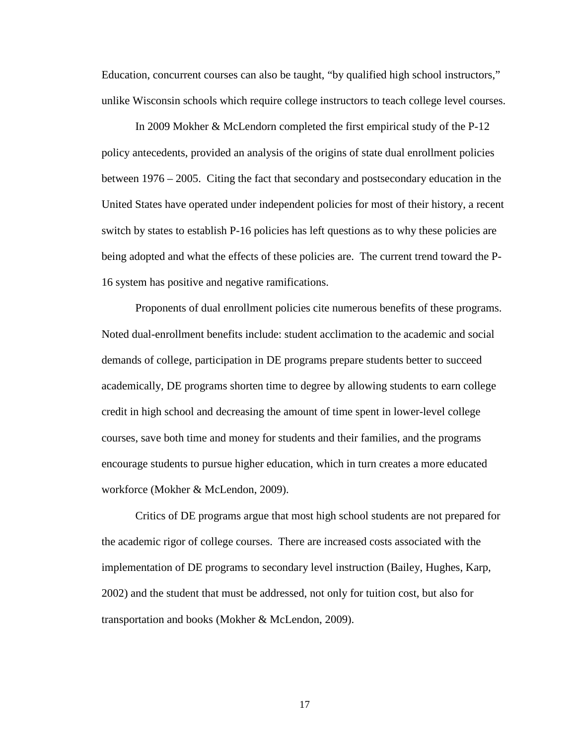Education, concurrent courses can also be taught, "by qualified high school instructors," unlike Wisconsin schools which require college instructors to teach college level courses.

In 2009 Mokher & McLendorn completed the first empirical study of the P-12 policy antecedents, provided an analysis of the origins of state dual enrollment policies between 1976 – 2005. Citing the fact that secondary and postsecondary education in the United States have operated under independent policies for most of their history, a recent switch by states to establish P-16 policies has left questions as to why these policies are being adopted and what the effects of these policies are. The current trend toward the P-16 system has positive and negative ramifications.

Proponents of dual enrollment policies cite numerous benefits of these programs. Noted dual-enrollment benefits include: student acclimation to the academic and social demands of college, participation in DE programs prepare students better to succeed academically, DE programs shorten time to degree by allowing students to earn college credit in high school and decreasing the amount of time spent in lower-level college courses, save both time and money for students and their families, and the programs encourage students to pursue higher education, which in turn creates a more educated workforce (Mokher & McLendon, 2009).

Critics of DE programs argue that most high school students are not prepared for the academic rigor of college courses. There are increased costs associated with the implementation of DE programs to secondary level instruction (Bailey, Hughes, Karp, 2002) and the student that must be addressed, not only for tuition cost, but also for transportation and books (Mokher & McLendon, 2009).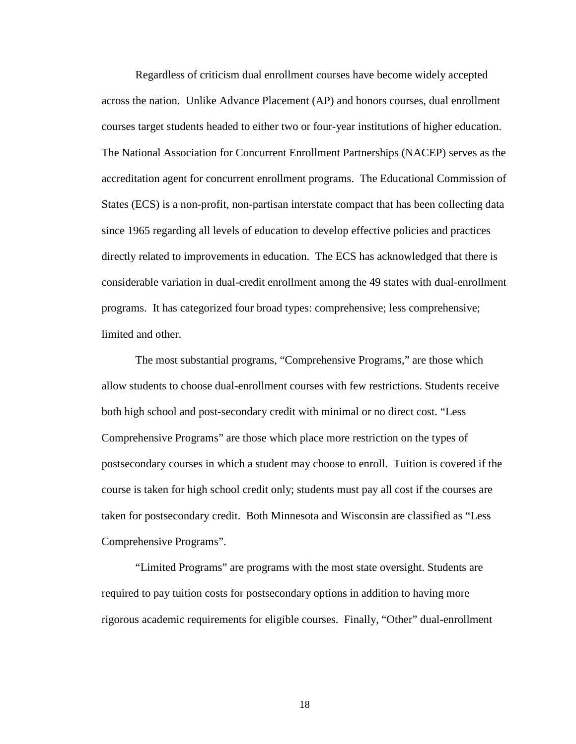Regardless of criticism dual enrollment courses have become widely accepted across the nation. Unlike Advance Placement (AP) and honors courses, dual enrollment courses target students headed to either two or four-year institutions of higher education. The National Association for Concurrent Enrollment Partnerships (NACEP) serves as the accreditation agent for concurrent enrollment programs. The Educational Commission of States (ECS) is a non-profit, non-partisan interstate compact that has been collecting data since 1965 regarding all levels of education to develop effective policies and practices directly related to improvements in education. The ECS has acknowledged that there is considerable variation in dual-credit enrollment among the 49 states with dual-enrollment programs. It has categorized four broad types: comprehensive; less comprehensive; limited and other.

The most substantial programs, "Comprehensive Programs," are those which allow students to choose dual-enrollment courses with few restrictions. Students receive both high school and post-secondary credit with minimal or no direct cost. "Less Comprehensive Programs" are those which place more restriction on the types of postsecondary courses in which a student may choose to enroll. Tuition is covered if the course is taken for high school credit only; students must pay all cost if the courses are taken for postsecondary credit. Both Minnesota and Wisconsin are classified as "Less Comprehensive Programs".

"Limited Programs" are programs with the most state oversight. Students are required to pay tuition costs for postsecondary options in addition to having more rigorous academic requirements for eligible courses. Finally, "Other" dual-enrollment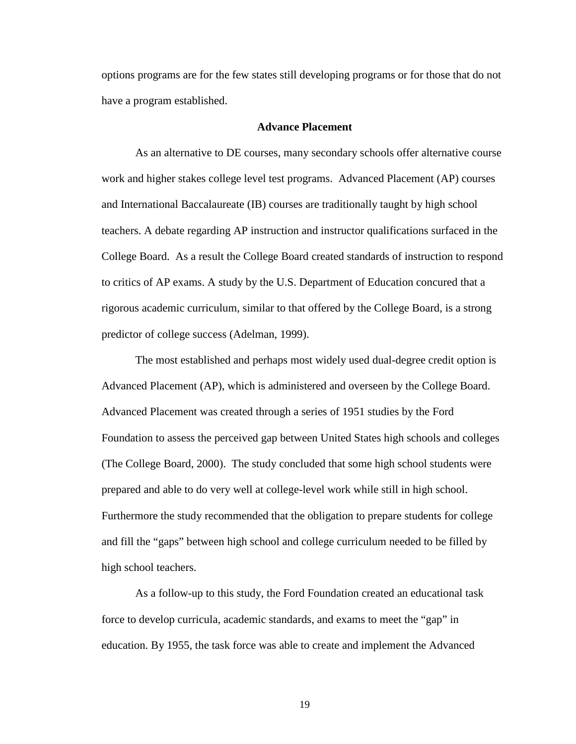options programs are for the few states still developing programs or for those that do not have a program established.

#### **Advance Placement**

As an alternative to DE courses, many secondary schools offer alternative course work and higher stakes college level test programs. Advanced Placement (AP) courses and International Baccalaureate (IB) courses are traditionally taught by high school teachers. A debate regarding AP instruction and instructor qualifications surfaced in the College Board. As a result the College Board created standards of instruction to respond to critics of AP exams. A study by the U.S. Department of Education concured that a rigorous academic curriculum, similar to that offered by the College Board, is a strong predictor of college success (Adelman, 1999).

The most established and perhaps most widely used dual-degree credit option is Advanced Placement (AP), which is administered and overseen by the College Board. Advanced Placement was created through a series of 1951 studies by the Ford Foundation to assess the perceived gap between United States high schools and colleges (The College Board, 2000). The study concluded that some high school students were prepared and able to do very well at college-level work while still in high school. Furthermore the study recommended that the obligation to prepare students for college and fill the "gaps" between high school and college curriculum needed to be filled by high school teachers.

As a follow-up to this study, the Ford Foundation created an educational task force to develop curricula, academic standards, and exams to meet the "gap" in education. By 1955, the task force was able to create and implement the Advanced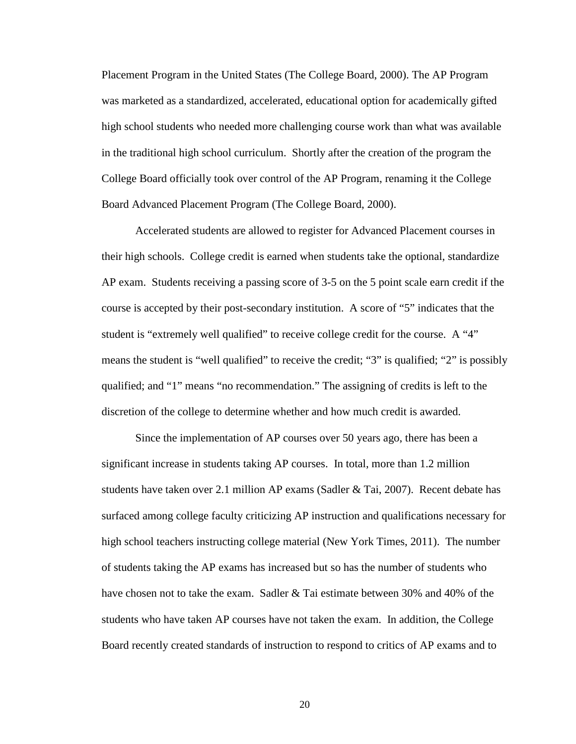Placement Program in the United States (The College Board, 2000). The AP Program was marketed as a standardized, accelerated, educational option for academically gifted high school students who needed more challenging course work than what was available in the traditional high school curriculum. Shortly after the creation of the program the College Board officially took over control of the AP Program, renaming it the College Board Advanced Placement Program (The College Board, 2000).

Accelerated students are allowed to register for Advanced Placement courses in their high schools. College credit is earned when students take the optional, standardize AP exam. Students receiving a passing score of 3-5 on the 5 point scale earn credit if the course is accepted by their post-secondary institution. A score of "5" indicates that the student is "extremely well qualified" to receive college credit for the course. A "4" means the student is "well qualified" to receive the credit; "3" is qualified; "2" is possibly qualified; and "1" means "no recommendation." The assigning of credits is left to the discretion of the college to determine whether and how much credit is awarded.

Since the implementation of AP courses over 50 years ago, there has been a significant increase in students taking AP courses. In total, more than 1.2 million students have taken over 2.1 million AP exams (Sadler & Tai, 2007). Recent debate has surfaced among college faculty criticizing AP instruction and qualifications necessary for high school teachers instructing college material (New York Times, 2011). The number of students taking the AP exams has increased but so has the number of students who have chosen not to take the exam. Sadler & Tai estimate between 30% and 40% of the students who have taken AP courses have not taken the exam. In addition, the College Board recently created standards of instruction to respond to critics of AP exams and to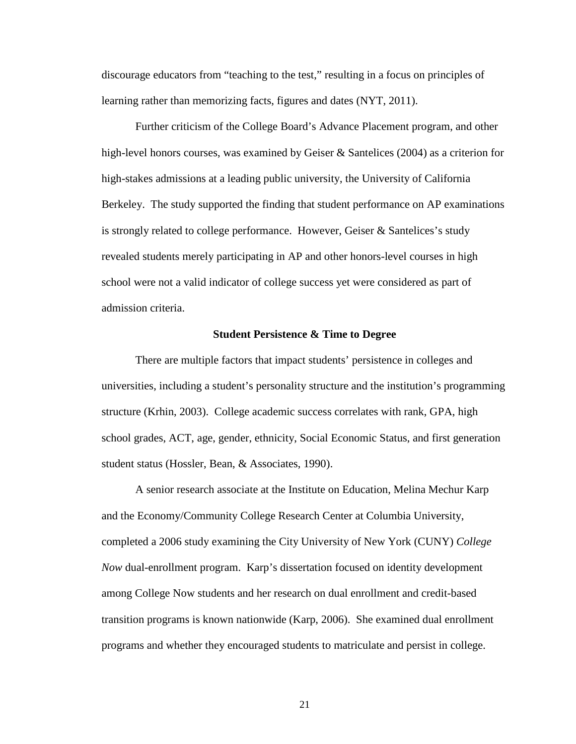discourage educators from "teaching to the test," resulting in a focus on principles of learning rather than memorizing facts, figures and dates (NYT, 2011).

Further criticism of the College Board's Advance Placement program, and other high-level honors courses, was examined by Geiser & Santelices (2004) as a criterion for high-stakes admissions at a leading public university, the University of California Berkeley. The study supported the finding that student performance on AP examinations is strongly related to college performance. However, Geiser  $\&$  Santelices's study revealed students merely participating in AP and other honors-level courses in high school were not a valid indicator of college success yet were considered as part of admission criteria.

#### **Student Persistence & Time to Degree**

There are multiple factors that impact students' persistence in colleges and universities, including a student's personality structure and the institution's programming structure (Krhin, 2003). College academic success correlates with rank, GPA, high school grades, ACT, age, gender, ethnicity, Social Economic Status, and first generation student status (Hossler, Bean, & Associates, 1990).

A senior research associate at the Institute on Education, Melina Mechur Karp and the Economy/Community College Research Center at Columbia University, completed a 2006 study examining the City University of New York (CUNY) *College Now* dual-enrollment program. Karp's dissertation focused on identity development among College Now students and her research on dual enrollment and credit-based transition programs is known nationwide (Karp, 2006). She examined dual enrollment programs and whether they encouraged students to matriculate and persist in college.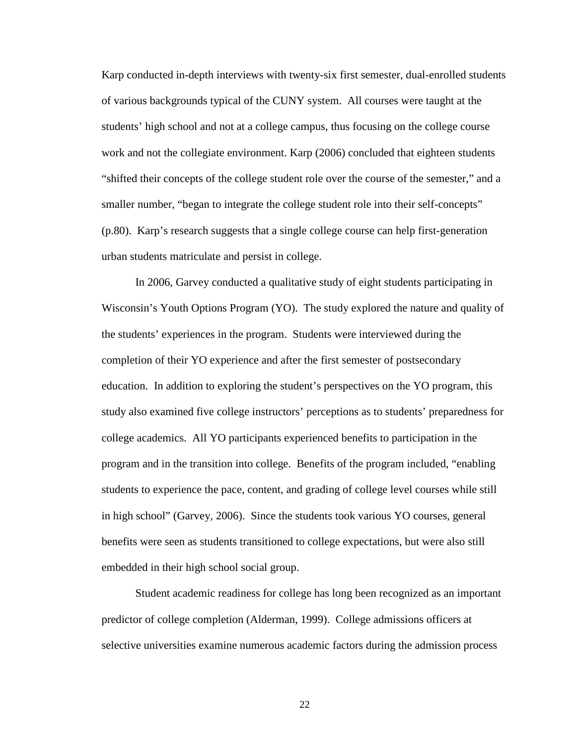Karp conducted in-depth interviews with twenty-six first semester, dual-enrolled students of various backgrounds typical of the CUNY system. All courses were taught at the students' high school and not at a college campus, thus focusing on the college course work and not the collegiate environment. Karp (2006) concluded that eighteen students "shifted their concepts of the college student role over the course of the semester," and a smaller number, "began to integrate the college student role into their self-concepts" (p.80). Karp's research suggests that a single college course can help first-generation urban students matriculate and persist in college.

In 2006, Garvey conducted a qualitative study of eight students participating in Wisconsin's Youth Options Program (YO). The study explored the nature and quality of the students' experiences in the program. Students were interviewed during the completion of their YO experience and after the first semester of postsecondary education. In addition to exploring the student's perspectives on the YO program, this study also examined five college instructors' perceptions as to students' preparedness for college academics. All YO participants experienced benefits to participation in the program and in the transition into college. Benefits of the program included, "enabling students to experience the pace, content, and grading of college level courses while still in high school" (Garvey, 2006). Since the students took various YO courses, general benefits were seen as students transitioned to college expectations, but were also still embedded in their high school social group.

Student academic readiness for college has long been recognized as an important predictor of college completion (Alderman, 1999). College admissions officers at selective universities examine numerous academic factors during the admission process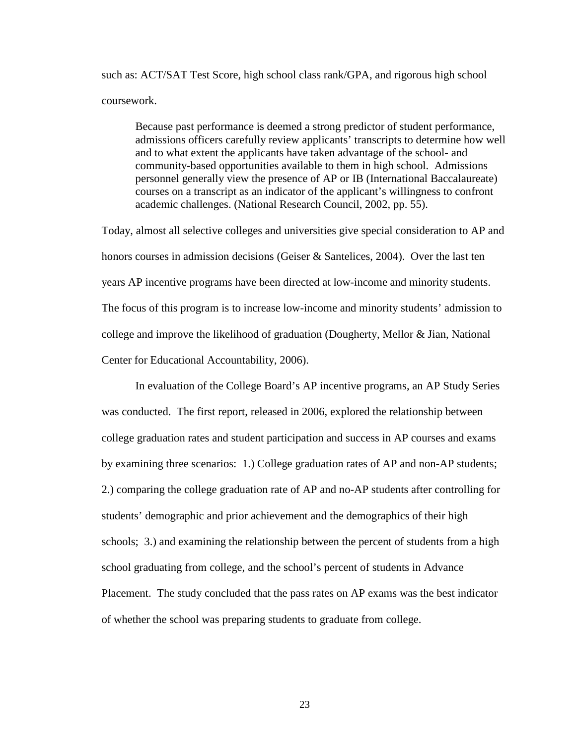such as: ACT/SAT Test Score, high school class rank/GPA, and rigorous high school coursework.

Because past performance is deemed a strong predictor of student performance, admissions officers carefully review applicants' transcripts to determine how well and to what extent the applicants have taken advantage of the school- and community-based opportunities available to them in high school. Admissions personnel generally view the presence of AP or IB (International Baccalaureate) courses on a transcript as an indicator of the applicant's willingness to confront academic challenges. (National Research Council, 2002, pp. 55).

Today, almost all selective colleges and universities give special consideration to AP and honors courses in admission decisions (Geiser & Santelices, 2004). Over the last ten years AP incentive programs have been directed at low-income and minority students. The focus of this program is to increase low-income and minority students' admission to college and improve the likelihood of graduation (Dougherty, Mellor & Jian, National Center for Educational Accountability, 2006).

In evaluation of the College Board's AP incentive programs, an AP Study Series was conducted. The first report, released in 2006, explored the relationship between college graduation rates and student participation and success in AP courses and exams by examining three scenarios: 1.) College graduation rates of AP and non-AP students; 2.) comparing the college graduation rate of AP and no-AP students after controlling for students' demographic and prior achievement and the demographics of their high schools; 3.) and examining the relationship between the percent of students from a high school graduating from college, and the school's percent of students in Advance Placement. The study concluded that the pass rates on AP exams was the best indicator of whether the school was preparing students to graduate from college.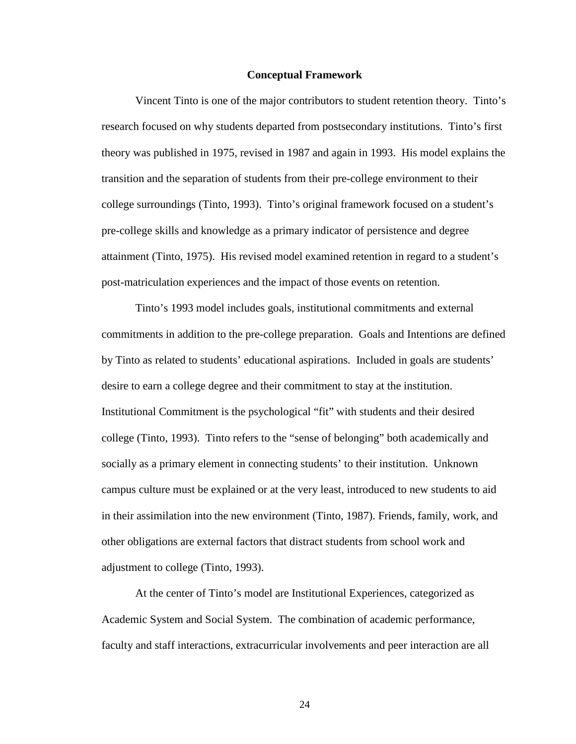#### **Conceptual Framework**

Vincent Tinto is one of the major contributors to student retention theory. Tinto's research focused on why students departed from postsecondary institutions. Tinto's first theory was published in 1975, revised in 1987 and again in 1993. His model explains the transition and the separation of students from their pre-college environment to their college surroundings (Tinto, 1993). Tinto's original framework focused on a student's pre-college skills and knowledge as a primary indicator of persistence and degree attainment (Tinto, 1975). His revised model examined retention in regard to a student's post-matriculation experiences and the impact of those events on retention.

Tinto's 1993 model includes goals, institutional commitments and external commitments in addition to the pre-college preparation. Goals and Intentions are defined by Tinto as related to students' educational aspirations. Included in goals are students' desire to earn a college degree and their commitment to stay at the institution. Institutional Commitment is the psychological "fit" with students and their desired college (Tinto, 1993). Tinto refers to the "sense of belonging" both academically and socially as a primary element in connecting students' to their institution. Unknown campus culture must be explained or at the very least, introduced to new students to aid in their assimilation into the new environment (Tinto, 1987). Friends, family, work, and other obligations are external factors that distract students from school work and adjustment to college (Tinto, 1993).

At the center of Tinto's model are Institutional Experiences, categorized as Academic System and Social System. The combination of academic performance, faculty and staff interactions, extracurricular involvements and peer interaction are all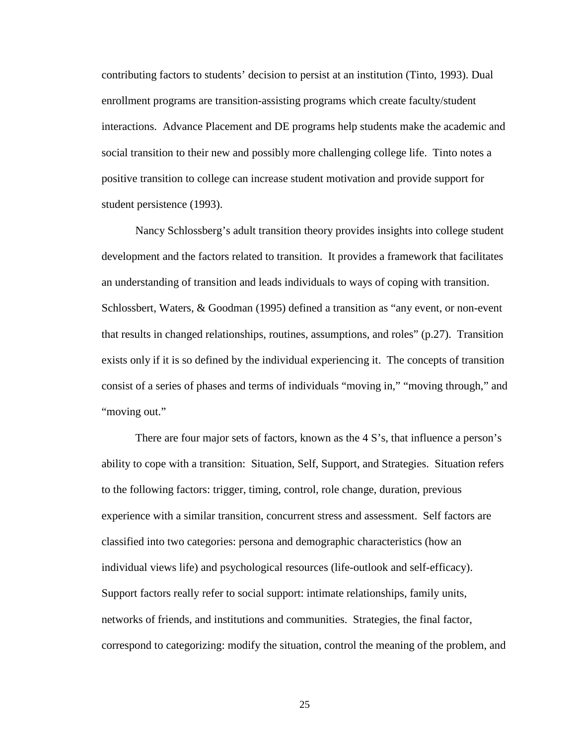contributing factors to students' decision to persist at an institution (Tinto, 1993). Dual enrollment programs are transition-assisting programs which create faculty/student interactions. Advance Placement and DE programs help students make the academic and social transition to their new and possibly more challenging college life. Tinto notes a positive transition to college can increase student motivation and provide support for student persistence (1993).

Nancy Schlossberg's adult transition theory provides insights into college student development and the factors related to transition. It provides a framework that facilitates an understanding of transition and leads individuals to ways of coping with transition. Schlossbert, Waters, & Goodman (1995) defined a transition as "any event, or non-event that results in changed relationships, routines, assumptions, and roles" (p.27). Transition exists only if it is so defined by the individual experiencing it. The concepts of transition consist of a series of phases and terms of individuals "moving in," "moving through," and "moving out."

There are four major sets of factors, known as the 4 S's, that influence a person's ability to cope with a transition: Situation, Self, Support, and Strategies. Situation refers to the following factors: trigger, timing, control, role change, duration, previous experience with a similar transition, concurrent stress and assessment. Self factors are classified into two categories: persona and demographic characteristics (how an individual views life) and psychological resources (life-outlook and self-efficacy). Support factors really refer to social support: intimate relationships, family units, networks of friends, and institutions and communities. Strategies, the final factor, correspond to categorizing: modify the situation, control the meaning of the problem, and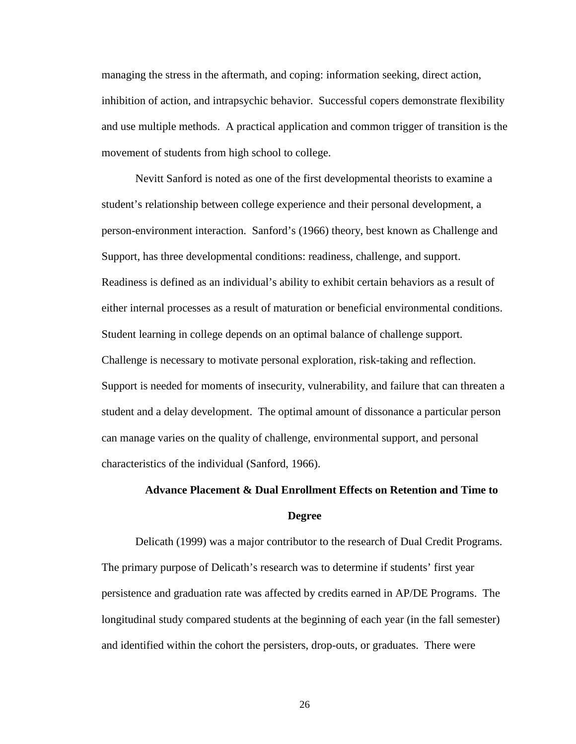managing the stress in the aftermath, and coping: information seeking, direct action, inhibition of action, and intrapsychic behavior. Successful copers demonstrate flexibility and use multiple methods. A practical application and common trigger of transition is the movement of students from high school to college.

Nevitt Sanford is noted as one of the first developmental theorists to examine a student's relationship between college experience and their personal development, a person-environment interaction. Sanford's (1966) theory, best known as Challenge and Support, has three developmental conditions: readiness, challenge, and support. Readiness is defined as an individual's ability to exhibit certain behaviors as a result of either internal processes as a result of maturation or beneficial environmental conditions. Student learning in college depends on an optimal balance of challenge support. Challenge is necessary to motivate personal exploration, risk-taking and reflection. Support is needed for moments of insecurity, vulnerability, and failure that can threaten a student and a delay development. The optimal amount of dissonance a particular person can manage varies on the quality of challenge, environmental support, and personal characteristics of the individual (Sanford, 1966).

# **Advance Placement & Dual Enrollment Effects on Retention and Time to Degree**

Delicath (1999) was a major contributor to the research of Dual Credit Programs. The primary purpose of Delicath's research was to determine if students' first year persistence and graduation rate was affected by credits earned in AP/DE Programs. The longitudinal study compared students at the beginning of each year (in the fall semester) and identified within the cohort the persisters, drop-outs, or graduates. There were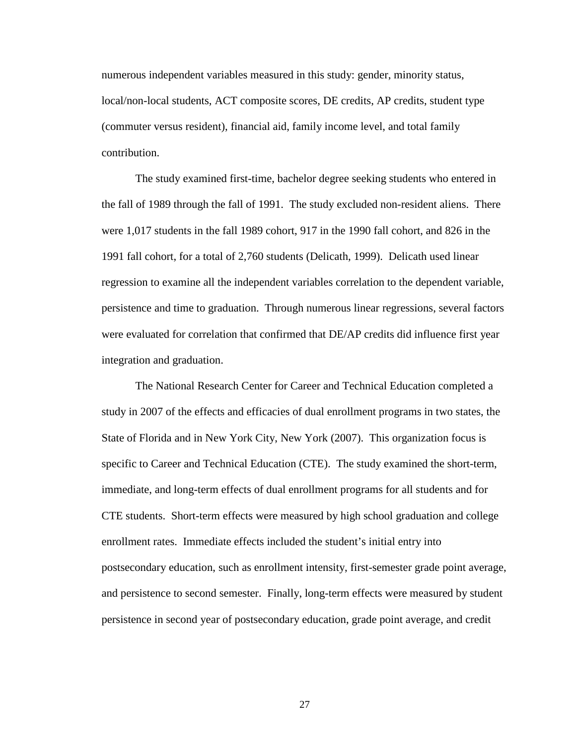numerous independent variables measured in this study: gender, minority status, local/non-local students, ACT composite scores, DE credits, AP credits, student type (commuter versus resident), financial aid, family income level, and total family contribution.

The study examined first-time, bachelor degree seeking students who entered in the fall of 1989 through the fall of 1991. The study excluded non-resident aliens. There were 1,017 students in the fall 1989 cohort, 917 in the 1990 fall cohort, and 826 in the 1991 fall cohort, for a total of 2,760 students (Delicath, 1999). Delicath used linear regression to examine all the independent variables correlation to the dependent variable, persistence and time to graduation. Through numerous linear regressions, several factors were evaluated for correlation that confirmed that DE/AP credits did influence first year integration and graduation.

The National Research Center for Career and Technical Education completed a study in 2007 of the effects and efficacies of dual enrollment programs in two states, the State of Florida and in New York City, New York (2007). This organization focus is specific to Career and Technical Education (CTE). The study examined the short-term, immediate, and long-term effects of dual enrollment programs for all students and for CTE students. Short-term effects were measured by high school graduation and college enrollment rates. Immediate effects included the student's initial entry into postsecondary education, such as enrollment intensity, first-semester grade point average, and persistence to second semester. Finally, long-term effects were measured by student persistence in second year of postsecondary education, grade point average, and credit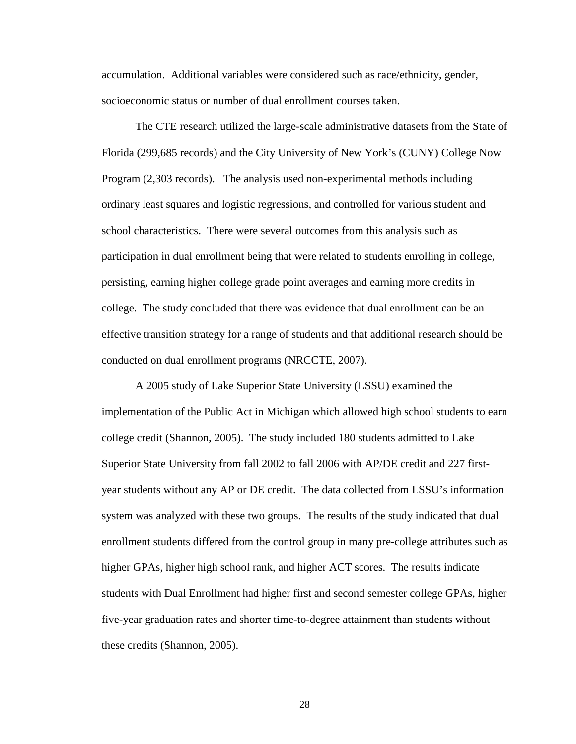accumulation. Additional variables were considered such as race/ethnicity, gender, socioeconomic status or number of dual enrollment courses taken.

The CTE research utilized the large-scale administrative datasets from the State of Florida (299,685 records) and the City University of New York's (CUNY) College Now Program (2,303 records). The analysis used non-experimental methods including ordinary least squares and logistic regressions, and controlled for various student and school characteristics. There were several outcomes from this analysis such as participation in dual enrollment being that were related to students enrolling in college, persisting, earning higher college grade point averages and earning more credits in college. The study concluded that there was evidence that dual enrollment can be an effective transition strategy for a range of students and that additional research should be conducted on dual enrollment programs (NRCCTE, 2007).

A 2005 study of Lake Superior State University (LSSU) examined the implementation of the Public Act in Michigan which allowed high school students to earn college credit (Shannon, 2005). The study included 180 students admitted to Lake Superior State University from fall 2002 to fall 2006 with AP/DE credit and 227 firstyear students without any AP or DE credit. The data collected from LSSU's information system was analyzed with these two groups. The results of the study indicated that dual enrollment students differed from the control group in many pre-college attributes such as higher GPAs, higher high school rank, and higher ACT scores. The results indicate students with Dual Enrollment had higher first and second semester college GPAs, higher five-year graduation rates and shorter time-to-degree attainment than students without these credits (Shannon, 2005).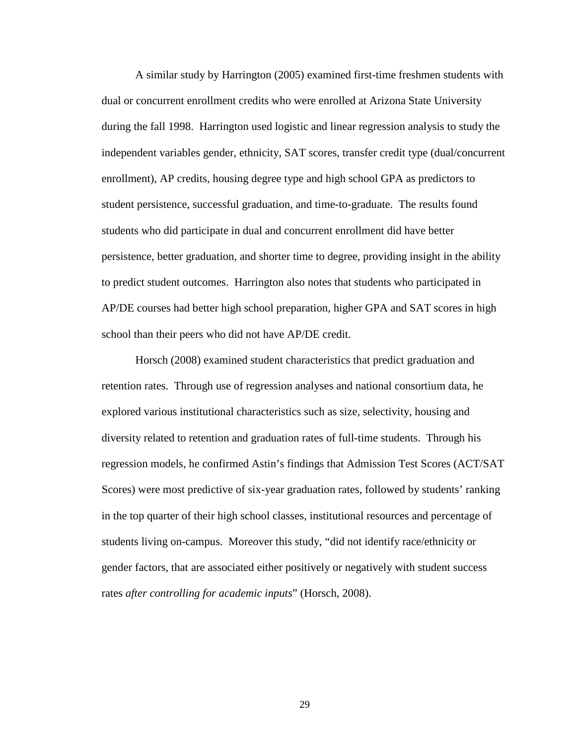A similar study by Harrington (2005) examined first-time freshmen students with dual or concurrent enrollment credits who were enrolled at Arizona State University during the fall 1998. Harrington used logistic and linear regression analysis to study the independent variables gender, ethnicity, SAT scores, transfer credit type (dual/concurrent enrollment), AP credits, housing degree type and high school GPA as predictors to student persistence, successful graduation, and time-to-graduate. The results found students who did participate in dual and concurrent enrollment did have better persistence, better graduation, and shorter time to degree, providing insight in the ability to predict student outcomes. Harrington also notes that students who participated in AP/DE courses had better high school preparation, higher GPA and SAT scores in high school than their peers who did not have AP/DE credit.

Horsch (2008) examined student characteristics that predict graduation and retention rates. Through use of regression analyses and national consortium data, he explored various institutional characteristics such as size, selectivity, housing and diversity related to retention and graduation rates of full-time students. Through his regression models, he confirmed Astin's findings that Admission Test Scores (ACT/SAT Scores) were most predictive of six-year graduation rates, followed by students' ranking in the top quarter of their high school classes, institutional resources and percentage of students living on-campus. Moreover this study, "did not identify race/ethnicity or gender factors, that are associated either positively or negatively with student success rates *after controlling for academic inputs*" (Horsch, 2008).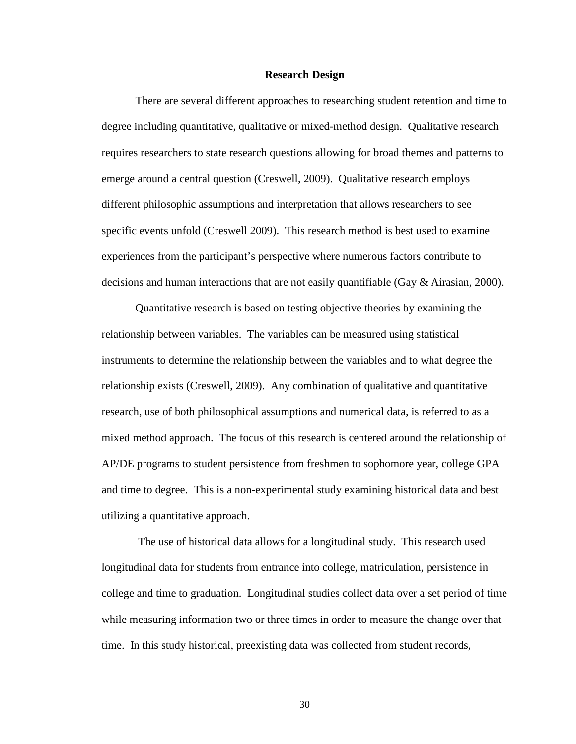#### **Research Design**

There are several different approaches to researching student retention and time to degree including quantitative, qualitative or mixed-method design. Qualitative research requires researchers to state research questions allowing for broad themes and patterns to emerge around a central question (Creswell, 2009). Qualitative research employs different philosophic assumptions and interpretation that allows researchers to see specific events unfold (Creswell 2009). This research method is best used to examine experiences from the participant's perspective where numerous factors contribute to decisions and human interactions that are not easily quantifiable (Gay & Airasian, 2000).

Quantitative research is based on testing objective theories by examining the relationship between variables. The variables can be measured using statistical instruments to determine the relationship between the variables and to what degree the relationship exists (Creswell, 2009). Any combination of qualitative and quantitative research, use of both philosophical assumptions and numerical data, is referred to as a mixed method approach. The focus of this research is centered around the relationship of AP/DE programs to student persistence from freshmen to sophomore year, college GPA and time to degree. This is a non-experimental study examining historical data and best utilizing a quantitative approach.

The use of historical data allows for a longitudinal study. This research used longitudinal data for students from entrance into college, matriculation, persistence in college and time to graduation. Longitudinal studies collect data over a set period of time while measuring information two or three times in order to measure the change over that time. In this study historical, preexisting data was collected from student records,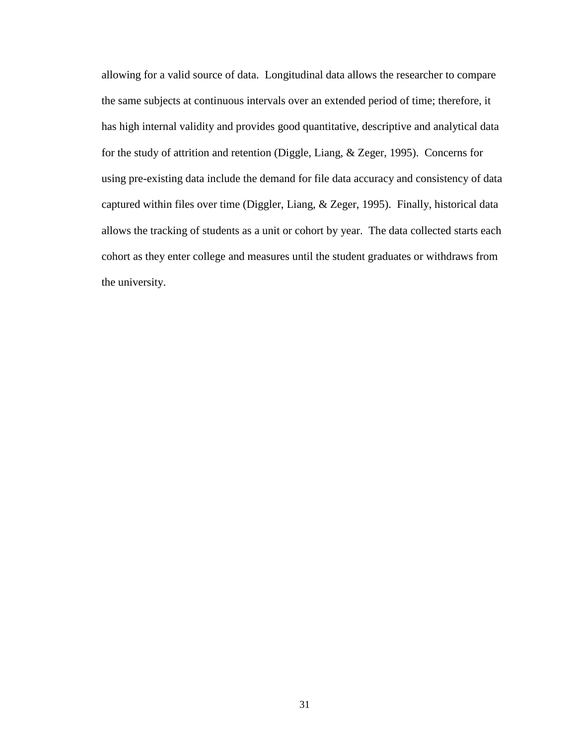allowing for a valid source of data. Longitudinal data allows the researcher to compare the same subjects at continuous intervals over an extended period of time; therefore, it has high internal validity and provides good quantitative, descriptive and analytical data for the study of attrition and retention (Diggle, Liang, & Zeger, 1995). Concerns for using pre-existing data include the demand for file data accuracy and consistency of data captured within files over time (Diggler, Liang, & Zeger, 1995). Finally, historical data allows the tracking of students as a unit or cohort by year. The data collected starts each cohort as they enter college and measures until the student graduates or withdraws from the university.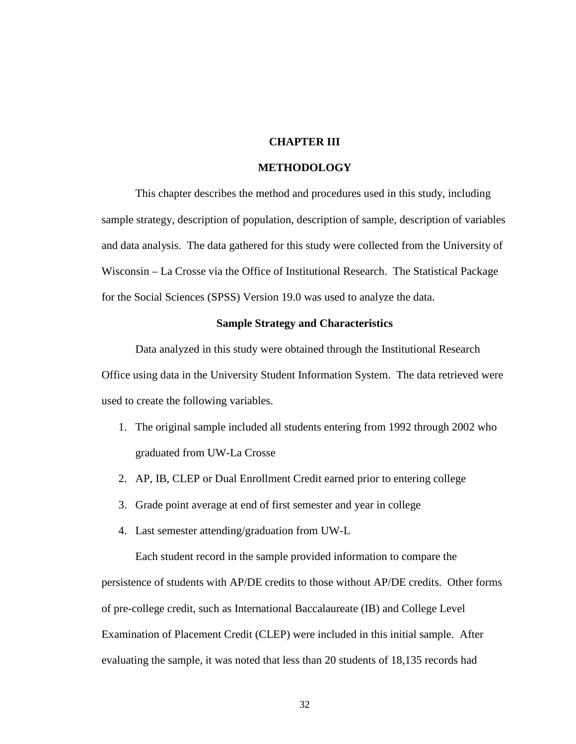# **CHAPTER III**

#### **METHODOLOGY**

This chapter describes the method and procedures used in this study, including sample strategy, description of population, description of sample, description of variables and data analysis. The data gathered for this study were collected from the University of Wisconsin – La Crosse via the Office of Institutional Research. The Statistical Package for the Social Sciences (SPSS) Version 19.0 was used to analyze the data.

#### **Sample Strategy and Characteristics**

Data analyzed in this study were obtained through the Institutional Research Office using data in the University Student Information System. The data retrieved were used to create the following variables.

- 1. The original sample included all students entering from 1992 through 2002 who graduated from UW-La Crosse
- 2. AP, IB, CLEP or Dual Enrollment Credit earned prior to entering college
- 3. Grade point average at end of first semester and year in college
- 4. Last semester attending/graduation from UW-L

Each student record in the sample provided information to compare the persistence of students with AP/DE credits to those without AP/DE credits. Other forms of pre-college credit, such as International Baccalaureate (IB) and College Level Examination of Placement Credit (CLEP) were included in this initial sample. After evaluating the sample, it was noted that less than 20 students of 18,135 records had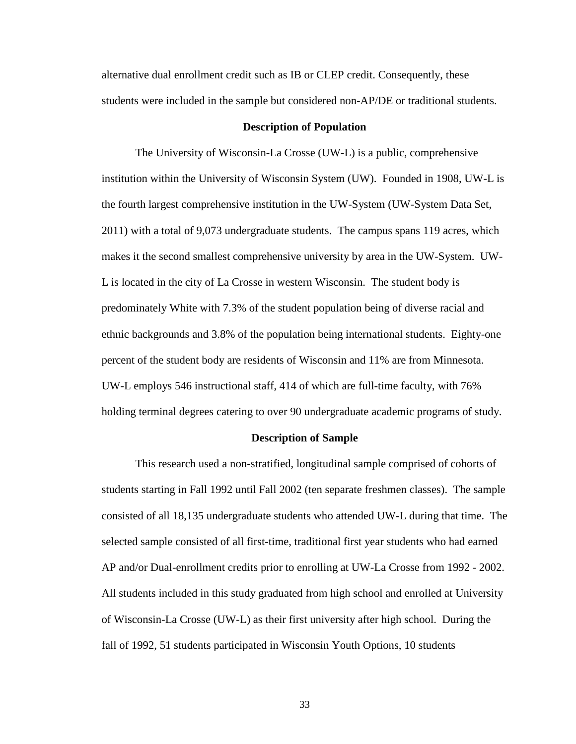alternative dual enrollment credit such as IB or CLEP credit. Consequently, these students were included in the sample but considered non-AP/DE or traditional students.

#### **Description of Population**

The University of Wisconsin-La Crosse (UW-L) is a public, comprehensive institution within the University of Wisconsin System (UW). Founded in 1908, UW-L is the fourth largest comprehensive institution in the UW-System (UW-System Data Set, 2011) with a total of 9,073 undergraduate students. The campus spans 119 acres, which makes it the second smallest comprehensive university by area in the UW-System. UW-L is located in the city of La Crosse in western Wisconsin. The student body is predominately White with 7.3% of the student population being of diverse racial and ethnic backgrounds and 3.8% of the population being international students. Eighty-one percent of the student body are residents of Wisconsin and 11% are from Minnesota. UW-L employs 546 instructional staff, 414 of which are full-time faculty, with 76% holding terminal degrees catering to over 90 undergraduate academic programs of study.

#### **Description of Sample**

This research used a non-stratified, longitudinal sample comprised of cohorts of students starting in Fall 1992 until Fall 2002 (ten separate freshmen classes). The sample consisted of all 18,135 undergraduate students who attended UW-L during that time. The selected sample consisted of all first-time, traditional first year students who had earned AP and/or Dual-enrollment credits prior to enrolling at UW-La Crosse from 1992 - 2002. All students included in this study graduated from high school and enrolled at University of Wisconsin-La Crosse (UW-L) as their first university after high school. During the fall of 1992, 51 students participated in Wisconsin Youth Options, 10 students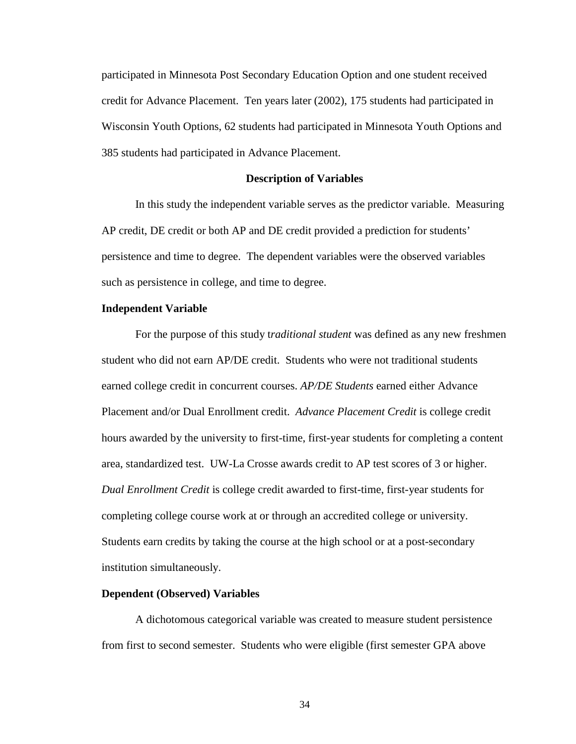participated in Minnesota Post Secondary Education Option and one student received credit for Advance Placement. Ten years later (2002), 175 students had participated in Wisconsin Youth Options, 62 students had participated in Minnesota Youth Options and 385 students had participated in Advance Placement.

#### **Description of Variables**

In this study the independent variable serves as the predictor variable. Measuring AP credit, DE credit or both AP and DE credit provided a prediction for students' persistence and time to degree. The dependent variables were the observed variables such as persistence in college, and time to degree.

#### **Independent Variable**

For the purpose of this study t*raditional student* was defined as any new freshmen student who did not earn AP/DE credit. Students who were not traditional students earned college credit in concurrent courses. *AP/DE Students* earned either Advance Placement and/or Dual Enrollment credit. *Advance Placement Credit* is college credit hours awarded by the university to first-time, first-year students for completing a content area, standardized test. UW-La Crosse awards credit to AP test scores of 3 or higher. *Dual Enrollment Credit* is college credit awarded to first-time, first-year students for completing college course work at or through an accredited college or university. Students earn credits by taking the course at the high school or at a post-secondary institution simultaneously.

### **Dependent (Observed) Variables**

A dichotomous categorical variable was created to measure student persistence from first to second semester. Students who were eligible (first semester GPA above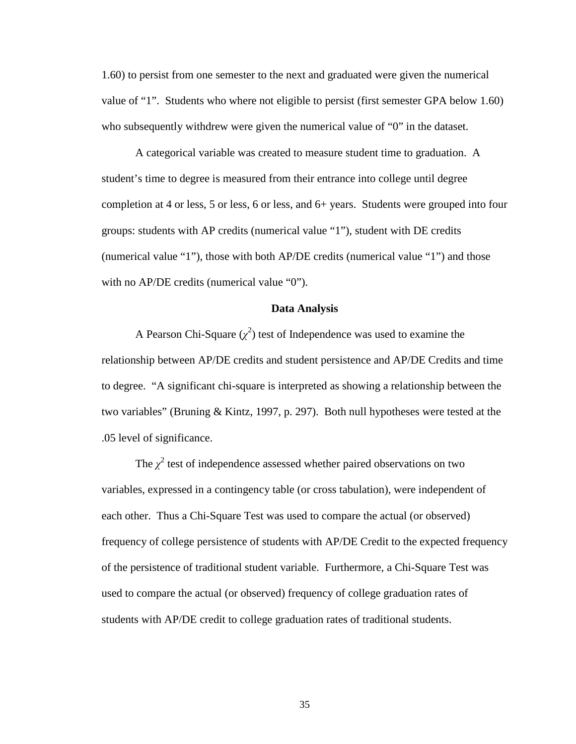1.60) to persist from one semester to the next and graduated were given the numerical value of "1". Students who where not eligible to persist (first semester GPA below 1.60) who subsequently withdrew were given the numerical value of "0" in the dataset.

A categorical variable was created to measure student time to graduation. A student's time to degree is measured from their entrance into college until degree completion at 4 or less, 5 or less, 6 or less, and 6+ years. Students were grouped into four groups: students with AP credits (numerical value "1"), student with DE credits (numerical value "1"), those with both AP/DE credits (numerical value "1") and those with no AP/DE credits (numerical value "0").

# **Data Analysis**

A Pearson Chi-Square  $(\chi^2)$  test of Independence was used to examine the relationship between AP/DE credits and student persistence and AP/DE Credits and time to degree. "A significant chi-square is interpreted as showing a relationship between the two variables" (Bruning & Kintz, 1997, p. 297). Both null hypotheses were tested at the .05 level of significance.

The  $\chi^2$  test of independence assessed whether paired observations on two variables, expressed in a contingency table (or cross tabulation), were independent of each other. Thus a Chi-Square Test was used to compare the actual (or observed) frequency of college persistence of students with AP/DE Credit to the expected frequency of the persistence of traditional student variable. Furthermore, a Chi-Square Test was used to compare the actual (or observed) frequency of college graduation rates of students with AP/DE credit to college graduation rates of traditional students.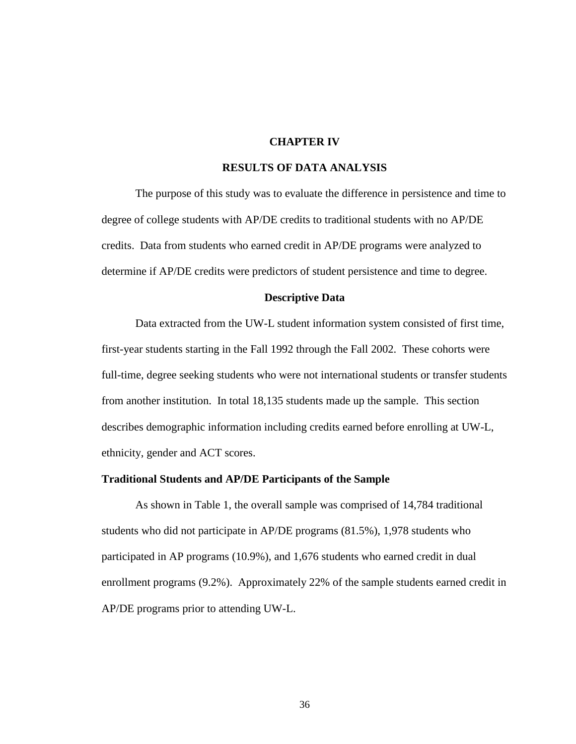# **CHAPTER IV**

#### **RESULTS OF DATA ANALYSIS**

The purpose of this study was to evaluate the difference in persistence and time to degree of college students with AP/DE credits to traditional students with no AP/DE credits. Data from students who earned credit in AP/DE programs were analyzed to determine if AP/DE credits were predictors of student persistence and time to degree.

#### **Descriptive Data**

Data extracted from the UW-L student information system consisted of first time, first-year students starting in the Fall 1992 through the Fall 2002. These cohorts were full-time, degree seeking students who were not international students or transfer students from another institution. In total 18,135 students made up the sample. This section describes demographic information including credits earned before enrolling at UW-L, ethnicity, gender and ACT scores.

#### **Traditional Students and AP/DE Participants of the Sample**

As shown in Table 1, the overall sample was comprised of 14,784 traditional students who did not participate in AP/DE programs (81.5%), 1,978 students who participated in AP programs (10.9%), and 1,676 students who earned credit in dual enrollment programs (9.2%). Approximately 22% of the sample students earned credit in AP/DE programs prior to attending UW-L.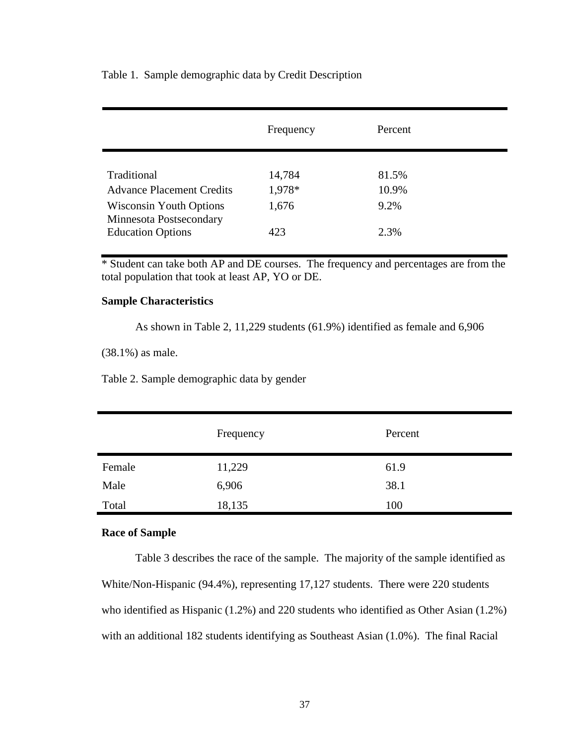Table 1. Sample demographic data by Credit Description

|                                                           | Frequency | Percent |
|-----------------------------------------------------------|-----------|---------|
|                                                           |           |         |
| Traditional                                               | 14,784    | 81.5%   |
| <b>Advance Placement Credits</b>                          | 1,978*    | 10.9%   |
| <b>Wisconsin Youth Options</b><br>Minnesota Postsecondary | 1,676     | 9.2%    |
| <b>Education Options</b>                                  | 423       | 2.3%    |

\* Student can take both AP and DE courses. The frequency and percentages are from the total population that took at least AP, YO or DE.

# **Sample Characteristics**

As shown in Table 2, 11,229 students (61.9%) identified as female and 6,906

(38.1%) as male.

Table 2. Sample demographic data by gender

|        | Frequency | Percent |
|--------|-----------|---------|
| Female | 11,229    | 61.9    |
| Male   | 6,906     | 38.1    |
| Total  | 18,135    | 100     |

# **Race of Sample**

Table 3 describes the race of the sample. The majority of the sample identified as White/Non-Hispanic (94.4%), representing 17,127 students. There were 220 students who identified as Hispanic (1.2%) and 220 students who identified as Other Asian (1.2%) with an additional 182 students identifying as Southeast Asian (1.0%). The final Racial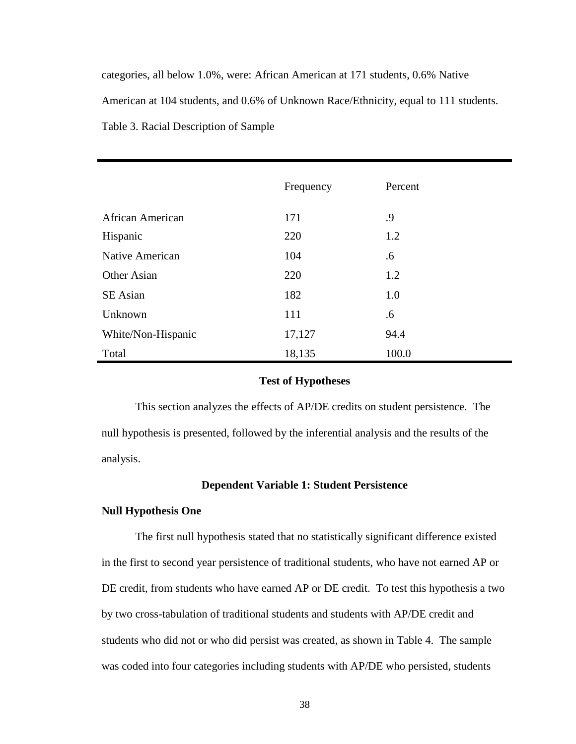categories, all below 1.0%, were: African American at 171 students, 0.6% Native American at 104 students, and 0.6% of Unknown Race/Ethnicity, equal to 111 students. Table 3. Racial Description of Sample

|                         | Frequency | Percent |
|-------------------------|-----------|---------|
| <b>African American</b> | 171       | .9      |
| Hispanic                | 220       | 1.2     |
| Native American         | 104       | .6      |
| Other Asian             | 220       | 1.2     |
| SE Asian                | 182       | 1.0     |
| Unknown                 | 111       | .6      |
| White/Non-Hispanic      | 17,127    | 94.4    |
| Total                   | 18,135    | 100.0   |

#### **Test of Hypotheses**

This section analyzes the effects of AP/DE credits on student persistence. The null hypothesis is presented, followed by the inferential analysis and the results of the analysis.

# **Dependent Variable 1: Student Persistence**

### **Null Hypothesis One**

The first null hypothesis stated that no statistically significant difference existed in the first to second year persistence of traditional students, who have not earned AP or DE credit, from students who have earned AP or DE credit. To test this hypothesis a two by two cross-tabulation of traditional students and students with AP/DE credit and students who did not or who did persist was created, as shown in Table 4. The sample was coded into four categories including students with AP/DE who persisted, students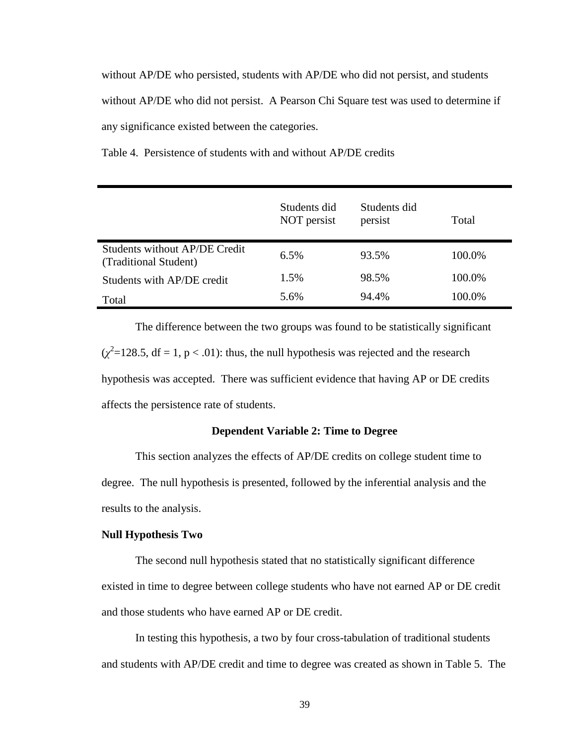without AP/DE who persisted, students with AP/DE who did not persist, and students without AP/DE who did not persist. A Pearson Chi Square test was used to determine if any significance existed between the categories.

Table 4. Persistence of students with and without AP/DE credits

|                                                        | Students did<br>NOT persist | Students did<br>persist | Total  |
|--------------------------------------------------------|-----------------------------|-------------------------|--------|
| Students without AP/DE Credit<br>(Traditional Student) | 6.5%                        | 93.5%                   | 100.0% |
| Students with AP/DE credit                             | 1.5%                        | 98.5%                   | 100.0% |
| Total                                                  | 5.6%                        | 94.4%                   | 100.0% |

The difference between the two groups was found to be statistically significant  $(\chi^2 = 128.5, df = 1, p < .01)$ : thus, the null hypothesis was rejected and the research hypothesis was accepted. There was sufficient evidence that having AP or DE credits affects the persistence rate of students.

### **Dependent Variable 2: Time to Degree**

This section analyzes the effects of AP/DE credits on college student time to degree. The null hypothesis is presented, followed by the inferential analysis and the results to the analysis.

### **Null Hypothesis Two**

The second null hypothesis stated that no statistically significant difference existed in time to degree between college students who have not earned AP or DE credit and those students who have earned AP or DE credit.

In testing this hypothesis, a two by four cross-tabulation of traditional students and students with AP/DE credit and time to degree was created as shown in Table 5. The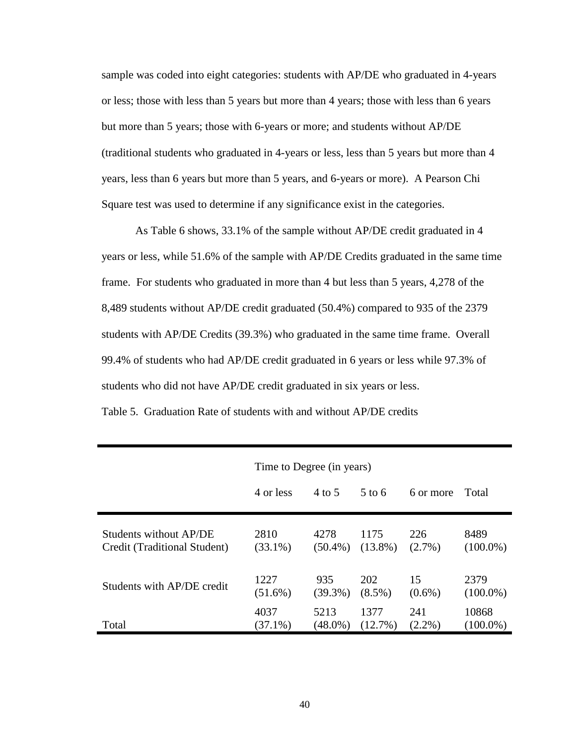sample was coded into eight categories: students with AP/DE who graduated in 4-years or less; those with less than 5 years but more than 4 years; those with less than 6 years but more than 5 years; those with 6-years or more; and students without AP/DE (traditional students who graduated in 4-years or less, less than 5 years but more than 4 years, less than 6 years but more than 5 years, and 6-years or more). A Pearson Chi Square test was used to determine if any significance exist in the categories.

As Table 6 shows, 33.1% of the sample without AP/DE credit graduated in 4 years or less, while 51.6% of the sample with AP/DE Credits graduated in the same time frame. For students who graduated in more than 4 but less than 5 years, 4,278 of the 8,489 students without AP/DE credit graduated (50.4%) compared to 935 of the 2379 students with AP/DE Credits (39.3%) who graduated in the same time frame. Overall 99.4% of students who had AP/DE credit graduated in 6 years or less while 97.3% of students who did not have AP/DE credit graduated in six years or less.

|                              | Time to Degree (in years) |            |                   |           |             |
|------------------------------|---------------------------|------------|-------------------|-----------|-------------|
|                              | 4 or less                 | 4 to 5     | $5 \text{ to } 6$ | 6 or more | Total       |
| Students without AP/DE       | 2810                      | 4278       | 1175              | 226       | 8489        |
| Credit (Traditional Student) | $(33.1\%)$                | $(50.4\%)$ | $(13.8\%)$        | $(2.7\%)$ | $(100.0\%)$ |
| Students with AP/DE credit   | 1227                      | 935        | <b>202</b>        | 15        | 2379        |
|                              | $(51.6\%)$                | $(39.3\%)$ | $(8.5\%)$         | $(0.6\%)$ | $(100.0\%)$ |
| Total                        | 4037                      | 5213       | 1377              | 241       | 10868       |
|                              | $(37.1\%)$                | $(48.0\%)$ | $(12.7\%)$        | $(2.2\%)$ | $(100.0\%)$ |

Table 5. Graduation Rate of students with and without AP/DE credits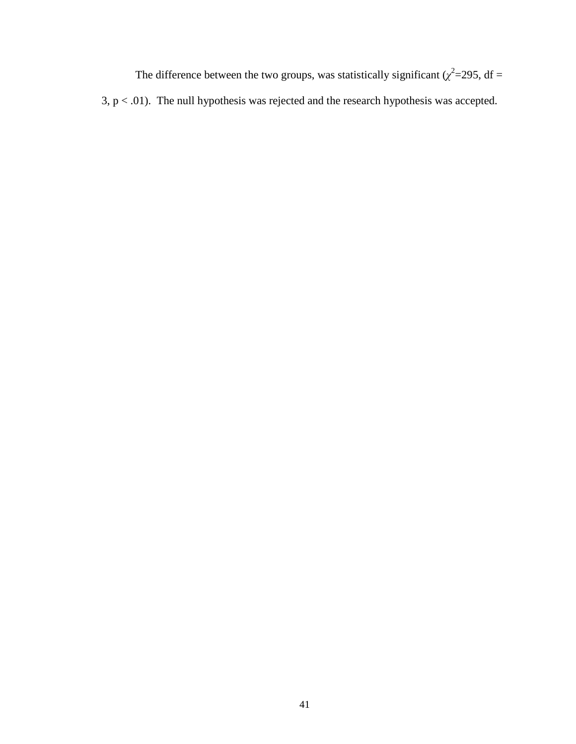The difference between the two groups, was statistically significant ( $\chi^2$ =295, df =  $3, p < .01$ ). The null hypothesis was rejected and the research hypothesis was accepted.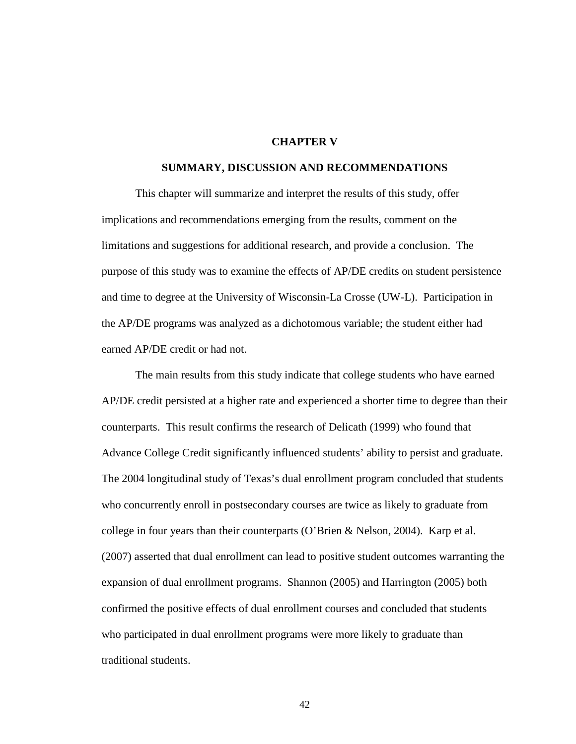## **CHAPTER V**

#### **SUMMARY, DISCUSSION AND RECOMMENDATIONS**

This chapter will summarize and interpret the results of this study, offer implications and recommendations emerging from the results, comment on the limitations and suggestions for additional research, and provide a conclusion. The purpose of this study was to examine the effects of AP/DE credits on student persistence and time to degree at the University of Wisconsin-La Crosse (UW-L). Participation in the AP/DE programs was analyzed as a dichotomous variable; the student either had earned AP/DE credit or had not.

The main results from this study indicate that college students who have earned AP/DE credit persisted at a higher rate and experienced a shorter time to degree than their counterparts. This result confirms the research of Delicath (1999) who found that Advance College Credit significantly influenced students' ability to persist and graduate. The 2004 longitudinal study of Texas's dual enrollment program concluded that students who concurrently enroll in postsecondary courses are twice as likely to graduate from college in four years than their counterparts (O'Brien & Nelson, 2004). Karp et al. (2007) asserted that dual enrollment can lead to positive student outcomes warranting the expansion of dual enrollment programs. Shannon (2005) and Harrington (2005) both confirmed the positive effects of dual enrollment courses and concluded that students who participated in dual enrollment programs were more likely to graduate than traditional students.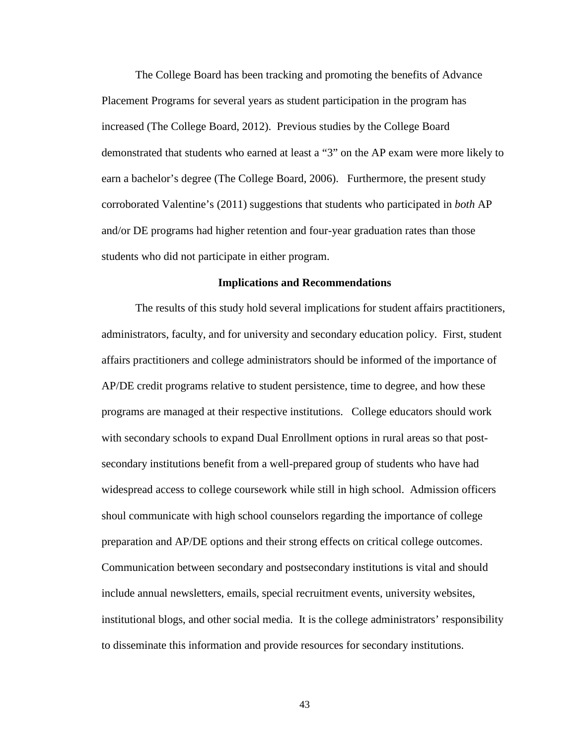The College Board has been tracking and promoting the benefits of Advance Placement Programs for several years as student participation in the program has increased (The College Board, 2012). Previous studies by the College Board demonstrated that students who earned at least a "3" on the AP exam were more likely to earn a bachelor's degree (The College Board, 2006). Furthermore, the present study corroborated Valentine's (2011) suggestions that students who participated in *both* AP and/or DE programs had higher retention and four-year graduation rates than those students who did not participate in either program.

#### **Implications and Recommendations**

The results of this study hold several implications for student affairs practitioners, administrators, faculty, and for university and secondary education policy. First, student affairs practitioners and college administrators should be informed of the importance of AP/DE credit programs relative to student persistence, time to degree, and how these programs are managed at their respective institutions. College educators should work with secondary schools to expand Dual Enrollment options in rural areas so that postsecondary institutions benefit from a well-prepared group of students who have had widespread access to college coursework while still in high school. Admission officers shoul communicate with high school counselors regarding the importance of college preparation and AP/DE options and their strong effects on critical college outcomes. Communication between secondary and postsecondary institutions is vital and should include annual newsletters, emails, special recruitment events, university websites, institutional blogs, and other social media. It is the college administrators' responsibility to disseminate this information and provide resources for secondary institutions.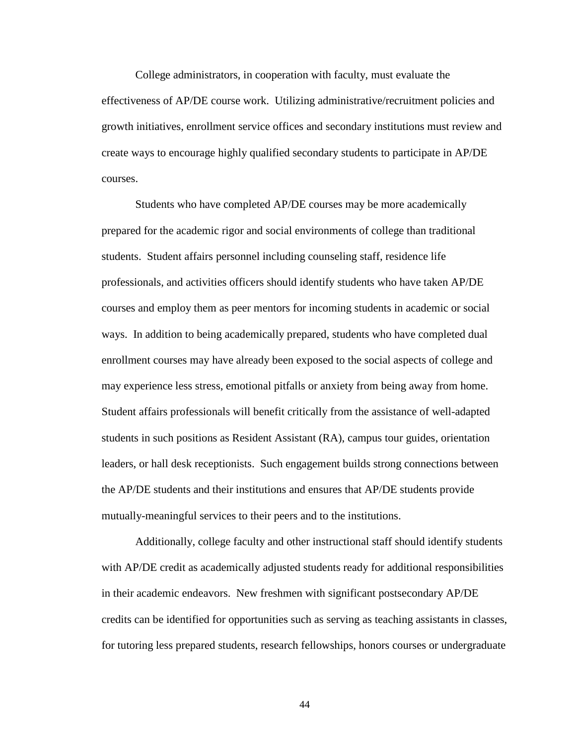College administrators, in cooperation with faculty, must evaluate the effectiveness of AP/DE course work. Utilizing administrative/recruitment policies and growth initiatives, enrollment service offices and secondary institutions must review and create ways to encourage highly qualified secondary students to participate in AP/DE courses.

Students who have completed AP/DE courses may be more academically prepared for the academic rigor and social environments of college than traditional students. Student affairs personnel including counseling staff, residence life professionals, and activities officers should identify students who have taken AP/DE courses and employ them as peer mentors for incoming students in academic or social ways. In addition to being academically prepared, students who have completed dual enrollment courses may have already been exposed to the social aspects of college and may experience less stress, emotional pitfalls or anxiety from being away from home. Student affairs professionals will benefit critically from the assistance of well-adapted students in such positions as Resident Assistant (RA), campus tour guides, orientation leaders, or hall desk receptionists. Such engagement builds strong connections between the AP/DE students and their institutions and ensures that AP/DE students provide mutually-meaningful services to their peers and to the institutions.

Additionally, college faculty and other instructional staff should identify students with AP/DE credit as academically adjusted students ready for additional responsibilities in their academic endeavors. New freshmen with significant postsecondary AP/DE credits can be identified for opportunities such as serving as teaching assistants in classes, for tutoring less prepared students, research fellowships, honors courses or undergraduate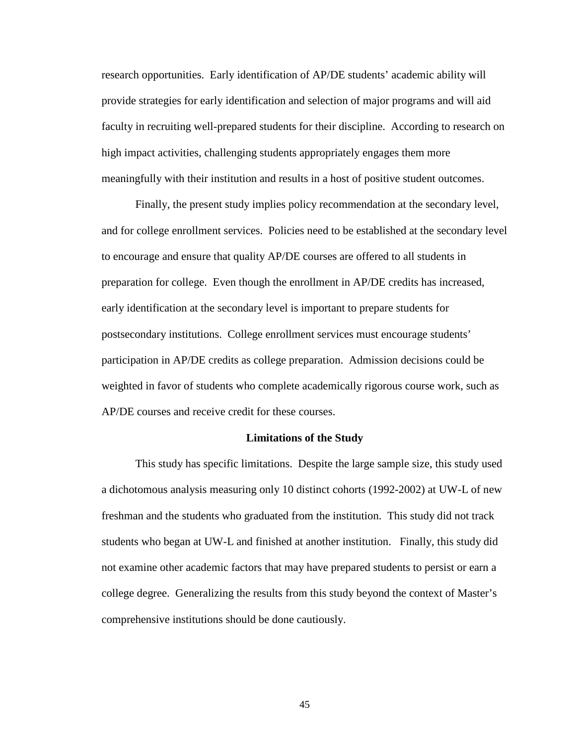research opportunities. Early identification of AP/DE students' academic ability will provide strategies for early identification and selection of major programs and will aid faculty in recruiting well-prepared students for their discipline. According to research on high impact activities, challenging students appropriately engages them more meaningfully with their institution and results in a host of positive student outcomes.

Finally, the present study implies policy recommendation at the secondary level, and for college enrollment services. Policies need to be established at the secondary level to encourage and ensure that quality AP/DE courses are offered to all students in preparation for college. Even though the enrollment in AP/DE credits has increased, early identification at the secondary level is important to prepare students for postsecondary institutions. College enrollment services must encourage students' participation in AP/DE credits as college preparation. Admission decisions could be weighted in favor of students who complete academically rigorous course work, such as AP/DE courses and receive credit for these courses.

#### **Limitations of the Study**

This study has specific limitations. Despite the large sample size, this study used a dichotomous analysis measuring only 10 distinct cohorts (1992-2002) at UW-L of new freshman and the students who graduated from the institution. This study did not track students who began at UW-L and finished at another institution. Finally, this study did not examine other academic factors that may have prepared students to persist or earn a college degree. Generalizing the results from this study beyond the context of Master's comprehensive institutions should be done cautiously.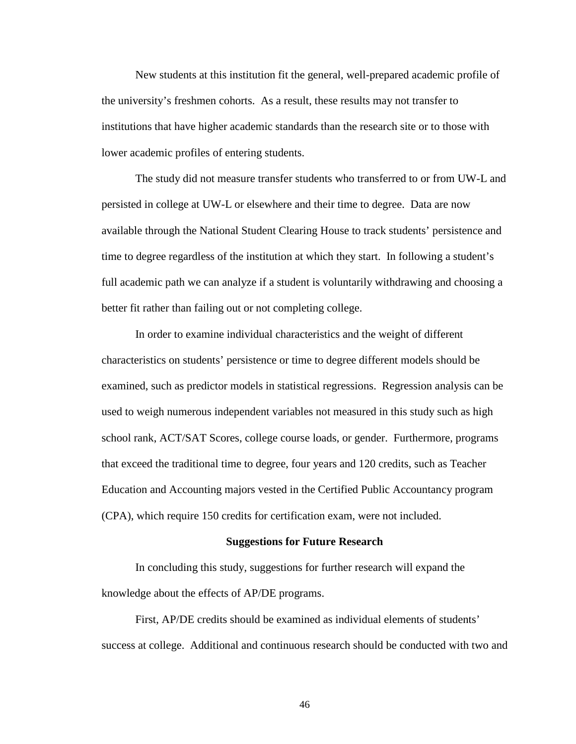New students at this institution fit the general, well-prepared academic profile of the university's freshmen cohorts. As a result, these results may not transfer to institutions that have higher academic standards than the research site or to those with lower academic profiles of entering students.

The study did not measure transfer students who transferred to or from UW-L and persisted in college at UW-L or elsewhere and their time to degree. Data are now available through the National Student Clearing House to track students' persistence and time to degree regardless of the institution at which they start. In following a student's full academic path we can analyze if a student is voluntarily withdrawing and choosing a better fit rather than failing out or not completing college.

In order to examine individual characteristics and the weight of different characteristics on students' persistence or time to degree different models should be examined, such as predictor models in statistical regressions. Regression analysis can be used to weigh numerous independent variables not measured in this study such as high school rank, ACT/SAT Scores, college course loads, or gender. Furthermore, programs that exceed the traditional time to degree, four years and 120 credits, such as Teacher Education and Accounting majors vested in the Certified Public Accountancy program (CPA), which require 150 credits for certification exam, were not included.

#### **Suggestions for Future Research**

In concluding this study, suggestions for further research will expand the knowledge about the effects of AP/DE programs.

First, AP/DE credits should be examined as individual elements of students' success at college. Additional and continuous research should be conducted with two and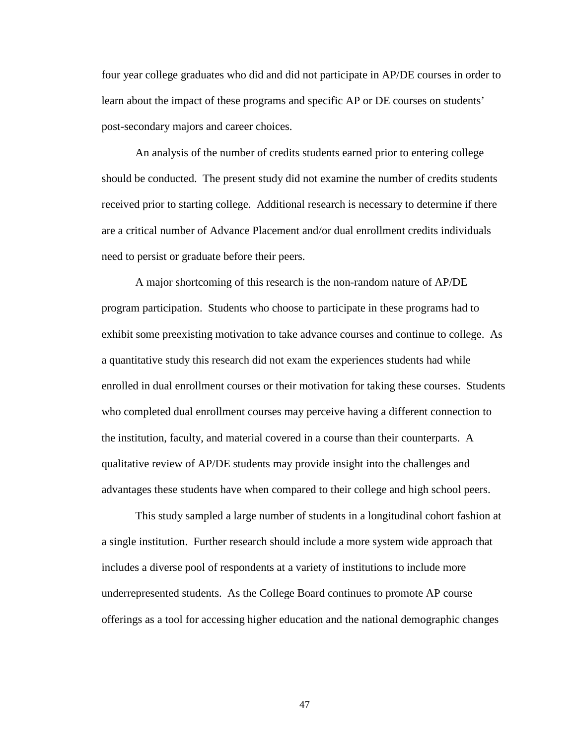four year college graduates who did and did not participate in AP/DE courses in order to learn about the impact of these programs and specific AP or DE courses on students' post-secondary majors and career choices.

An analysis of the number of credits students earned prior to entering college should be conducted. The present study did not examine the number of credits students received prior to starting college. Additional research is necessary to determine if there are a critical number of Advance Placement and/or dual enrollment credits individuals need to persist or graduate before their peers.

A major shortcoming of this research is the non-random nature of AP/DE program participation. Students who choose to participate in these programs had to exhibit some preexisting motivation to take advance courses and continue to college. As a quantitative study this research did not exam the experiences students had while enrolled in dual enrollment courses or their motivation for taking these courses. Students who completed dual enrollment courses may perceive having a different connection to the institution, faculty, and material covered in a course than their counterparts. A qualitative review of AP/DE students may provide insight into the challenges and advantages these students have when compared to their college and high school peers.

This study sampled a large number of students in a longitudinal cohort fashion at a single institution. Further research should include a more system wide approach that includes a diverse pool of respondents at a variety of institutions to include more underrepresented students. As the College Board continues to promote AP course offerings as a tool for accessing higher education and the national demographic changes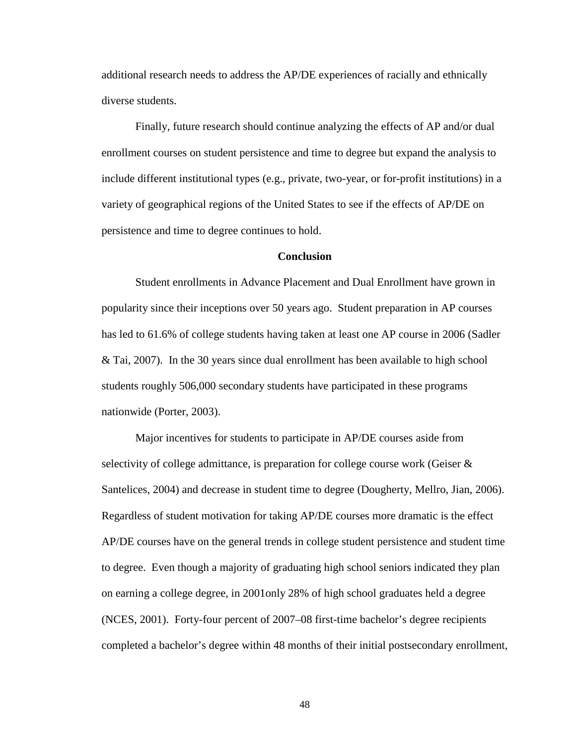additional research needs to address the AP/DE experiences of racially and ethnically diverse students.

Finally, future research should continue analyzing the effects of AP and/or dual enrollment courses on student persistence and time to degree but expand the analysis to include different institutional types (e.g., private, two-year, or for-profit institutions) in a variety of geographical regions of the United States to see if the effects of AP/DE on persistence and time to degree continues to hold.

#### **Conclusion**

Student enrollments in Advance Placement and Dual Enrollment have grown in popularity since their inceptions over 50 years ago. Student preparation in AP courses has led to 61.6% of college students having taken at least one AP course in 2006 (Sadler & Tai, 2007). In the 30 years since dual enrollment has been available to high school students roughly 506,000 secondary students have participated in these programs nationwide (Porter, 2003).

Major incentives for students to participate in AP/DE courses aside from selectivity of college admittance, is preparation for college course work (Geiser & Santelices, 2004) and decrease in student time to degree (Dougherty, Mellro, Jian, 2006). Regardless of student motivation for taking AP/DE courses more dramatic is the effect AP/DE courses have on the general trends in college student persistence and student time to degree. Even though a majority of graduating high school seniors indicated they plan on earning a college degree, in 2001only 28% of high school graduates held a degree (NCES, 2001). Forty-four percent of 2007–08 first-time bachelor's degree recipients completed a bachelor's degree within 48 months of their initial postsecondary enrollment,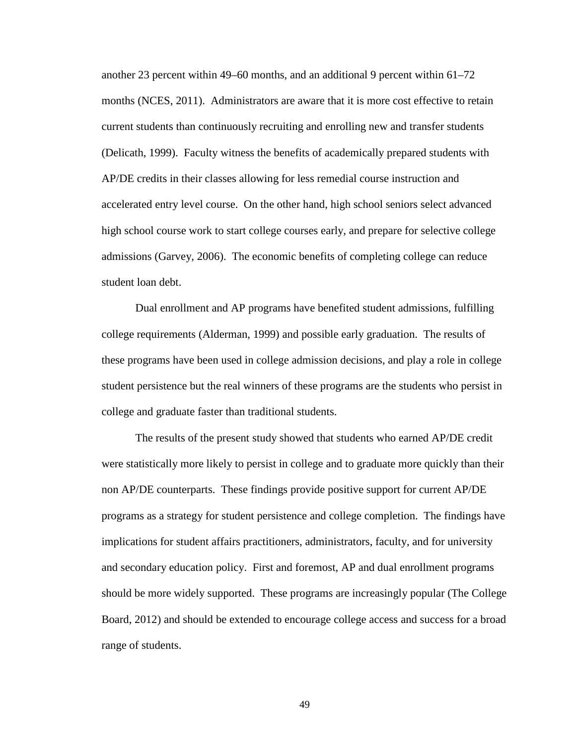another 23 percent within 49–60 months, and an additional 9 percent within 61–72 months (NCES, 2011). Administrators are aware that it is more cost effective to retain current students than continuously recruiting and enrolling new and transfer students (Delicath, 1999). Faculty witness the benefits of academically prepared students with AP/DE credits in their classes allowing for less remedial course instruction and accelerated entry level course. On the other hand, high school seniors select advanced high school course work to start college courses early, and prepare for selective college admissions (Garvey, 2006). The economic benefits of completing college can reduce student loan debt.

Dual enrollment and AP programs have benefited student admissions, fulfilling college requirements (Alderman, 1999) and possible early graduation. The results of these programs have been used in college admission decisions, and play a role in college student persistence but the real winners of these programs are the students who persist in college and graduate faster than traditional students.

The results of the present study showed that students who earned AP/DE credit were statistically more likely to persist in college and to graduate more quickly than their non AP/DE counterparts. These findings provide positive support for current AP/DE programs as a strategy for student persistence and college completion. The findings have implications for student affairs practitioners, administrators, faculty, and for university and secondary education policy. First and foremost, AP and dual enrollment programs should be more widely supported. These programs are increasingly popular (The College Board, 2012) and should be extended to encourage college access and success for a broad range of students.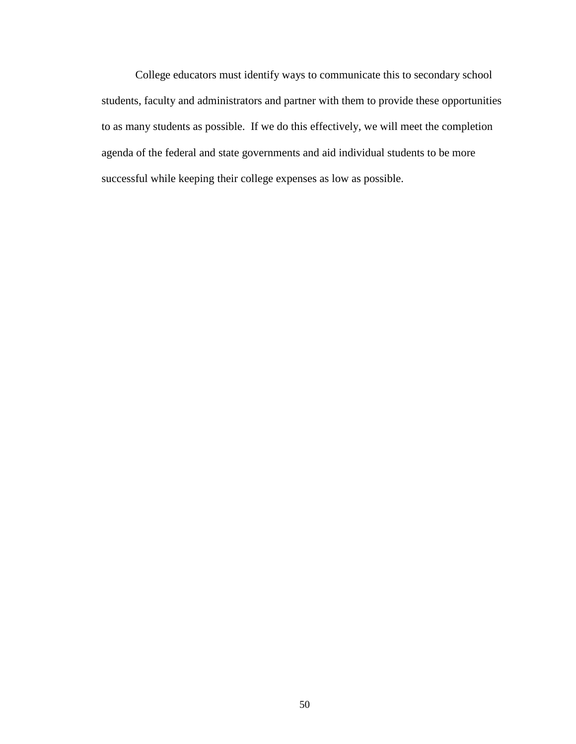College educators must identify ways to communicate this to secondary school students, faculty and administrators and partner with them to provide these opportunities to as many students as possible. If we do this effectively, we will meet the completion agenda of the federal and state governments and aid individual students to be more successful while keeping their college expenses as low as possible.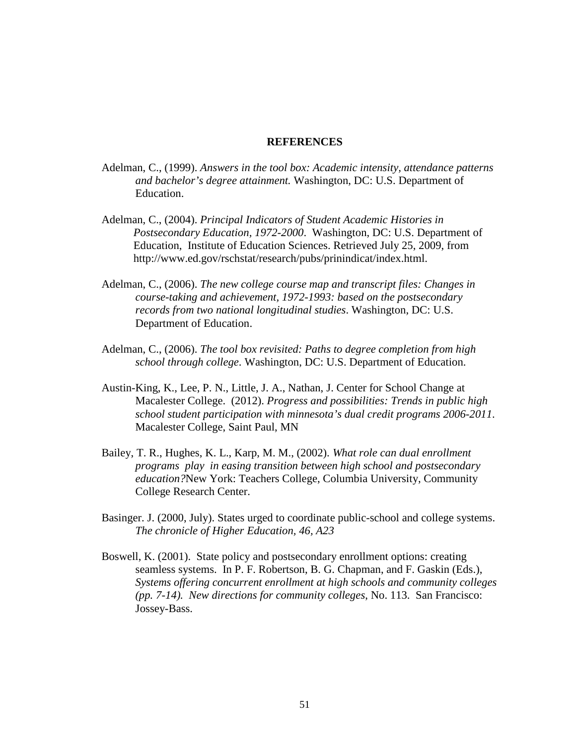# **REFERENCES**

- Adelman, C., (1999). *Answers in the tool box: Academic intensity, attendance patterns and bachelor's degree attainment.* Washington, DC: U.S. Department of Education.
- Adelman, C., (2004). *Principal Indicators of Student Academic Histories in Postsecondary Education, 1972-2000*. Washington, DC: U.S. Department of Education, Institute of Education Sciences. Retrieved July 25, 2009, from http://www.ed.gov/rschstat/research/pubs/prinindicat/index.html.
- Adelman, C., (2006). *The new college course map and transcript files: Changes in course-taking and achievement, 1972-1993: based on the postsecondary records from two national longitudinal studies*. Washington, DC: U.S. Department of Education.
- Adelman, C., (2006). *The tool box revisited: Paths to degree completion from high school through college*. Washington, DC: U.S. Department of Education.
- Austin-King, K., Lee, P. N., Little, J. A., Nathan, J. Center for School Change at Macalester College. (2012). *Progress and possibilities: Trends in public high school student participation with minnesota's dual credit programs 2006-2011*. Macalester College, Saint Paul, MN
- Bailey, T. R., Hughes, K. L., Karp, M. M., (2002). *What role can dual enrollment programs play in easing transition between high school and postsecondary education?*New York: Teachers College, Columbia University, Community College Research Center.
- Basinger. J. (2000, July). States urged to coordinate public-school and college systems. *The chronicle of Higher Education, 46, A23*
- Boswell, K. (2001). State policy and postsecondary enrollment options: creating seamless systems. In P. F. Robertson, B. G. Chapman, and F. Gaskin (Eds.), *Systems offering concurrent enrollment at high schools and community colleges (pp. 7-14). New directions for community colleges*, No. 113. San Francisco: Jossey-Bass.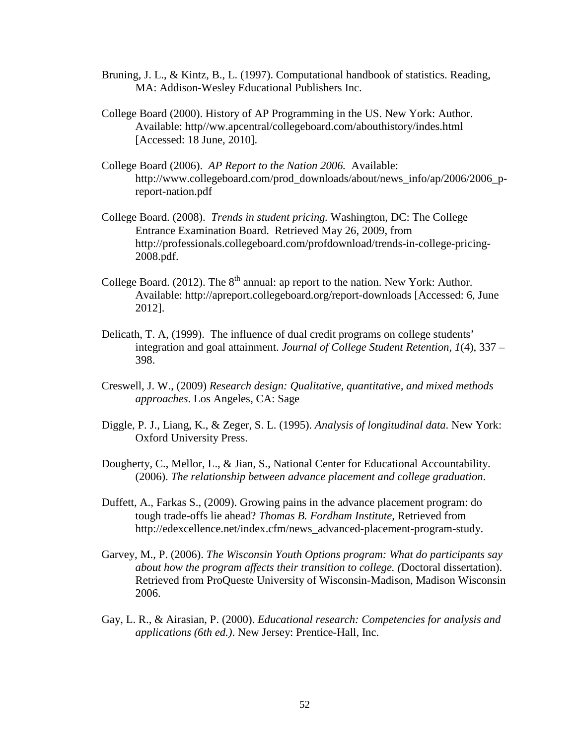- Bruning, J. L., & Kintz, B., L. (1997). Computational handbook of statistics. Reading, MA: Addison-Wesley Educational Publishers Inc.
- College Board (2000). History of AP Programming in the US. New York: Author. Available: http//ww.apcentral/collegeboard.com/abouthistory/indes.html [Accessed: 18 June, 2010].
- College Board (2006). *AP Report to the Nation 2006.* Available: [http://www.collegeboard.com/prod\\_downloads/about/news\\_info/ap/2006/2006\\_p](http://www.google.com/url?q=http%3A%2F%2Fwww.collegeboard.com%2Fprod_downloads%2Fabout%2Fnews_info%2Fap%2F2006%2F2006_p-report-na&sa=D&sntz=1&usg=AFQjCNG_EXYJ-ePoRBpoDgGDx0HWYwfvzQ)[report-nat](http://www.google.com/url?q=http%3A%2F%2Fwww.collegeboard.com%2Fprod_downloads%2Fabout%2Fnews_info%2Fap%2F2006%2F2006_p-report-na&sa=D&sntz=1&usg=AFQjCNG_EXYJ-ePoRBpoDgGDx0HWYwfvzQ)ion.pdf
- College Board. (2008). *Trends in student pricing.* Washington, DC: The College Entrance Examination Board. Retrieved May 26, 2009, from http://professionals.collegeboard.com/profdownload/trends-in-college-pricing-2008.pdf.
- College Board. (2012). The  $8<sup>th</sup>$  annual: ap report to the nation. New York: Author. Available: http://apreport.collegeboard.org/report-downloads [Accessed: 6, June 2012].
- Delicath, T. A, (1999). The influence of dual credit programs on college students' integration and goal attainment. *Journal of College Student Retention, 1*(4), 337 – 398.
- Creswell, J. W., (2009) *Research design: Qualitative, quantitative, and mixed methods approaches*. Los Angeles, CA: Sage
- Diggle, P. J., Liang, K., & Zeger, S. L. (1995). *Analysis of longitudinal data*. New York: Oxford University Press.
- Dougherty, C., Mellor, L., & Jian, S., National Center for Educational Accountability. (2006). *The relationship between advance placement and college graduation*.
- Duffett, A., Farkas S., (2009). Growing pains in the advance placement program: do tough trade-offs lie ahead? *Thomas B. Fordham Institute,* Retrieved from http://edexcellence.net/index.cfm/news\_advanced-placement-program-study.
- Garvey, M., P. (2006). *The Wisconsin Youth Options program: What do participants say about how the program affects their transition to college. (*Doctoral dissertation). Retrieved from ProQueste University of Wisconsin-Madison, Madison Wisconsin 2006.
- Gay, L. R., & Airasian, P. (2000). *Educational research: Competencies for analysis and applications (6th ed.)*. New Jersey: Prentice-Hall, Inc.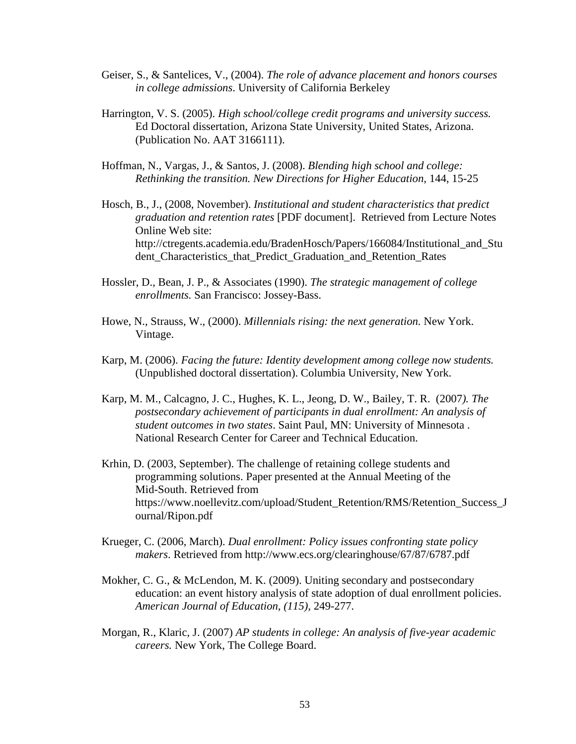- Geiser, S., & Santelices, V., (2004). *The role of advance placement and honors courses in college admissions*. University of California Berkeley
- Harrington, V. S. (2005). *High school/college credit programs and university success.* Ed Doctoral dissertation, Arizona State University, United States, Arizona. (Publication No. AAT 3166111).
- Hoffman, N., Vargas, J., & Santos, J. (2008). *Blending high school and college: Rethinking the transition. New Directions for Higher Education*, 144, 15-25
- Hosch, B., J., (2008, November). *Institutional and student characteristics that predict graduation and retention rates* [PDF document]. Retrieved from Lecture Notes Online Web site: http://ctregents.academia.edu/BradenHosch/Papers/166084/Institutional\_and\_Stu dent\_Characteristics\_that\_Predict\_Graduation\_and\_Retention\_Rates
- Hossler, D., Bean, J. P., & Associates (1990). *The strategic management of college enrollments.* San Francisco: Jossey-Bass.
- Howe, N., Strauss, W., (2000). *Millennials rising: the next generation.* New York. Vintage.
- Karp, M. (2006). *Facing the future: Identity development among college now students.* (Unpublished doctoral dissertation). Columbia University, New York.
- Karp, M. M., Calcagno, J. C., Hughes, K. L., Jeong, D. W., Bailey, T. R. (2007*). The postsecondary achievement of participants in dual enrollment: An analysis of student outcomes in two states*. Saint Paul, MN: University of Minnesota . National Research Center for Career and Technical Education.
- Krhin, D. (2003, September). The challenge of retaining college students and programming solutions. Paper presented at the Annual Meeting of the Mid-South. Retrieved from https://www.noellevitz.com/upload/Student\_Retention/RMS/Retention\_Success\_J ournal/Ripon.pdf
- Krueger, C. (2006, March). *Dual enrollment: Policy issues confronting state policy makers*. Retrieved from http://www.ecs.org/clearinghouse/67/87/6787.pdf
- Mokher, C. G., & McLendon, M. K. (2009). Uniting secondary and postsecondary education: an event history analysis of state adoption of dual enrollment policies. *American Journal of Education, (115),* 249-277.
- Morgan, R., Klaric, J. (2007) *AP students in college: An analysis of five-year academic careers.* New York, The College Board.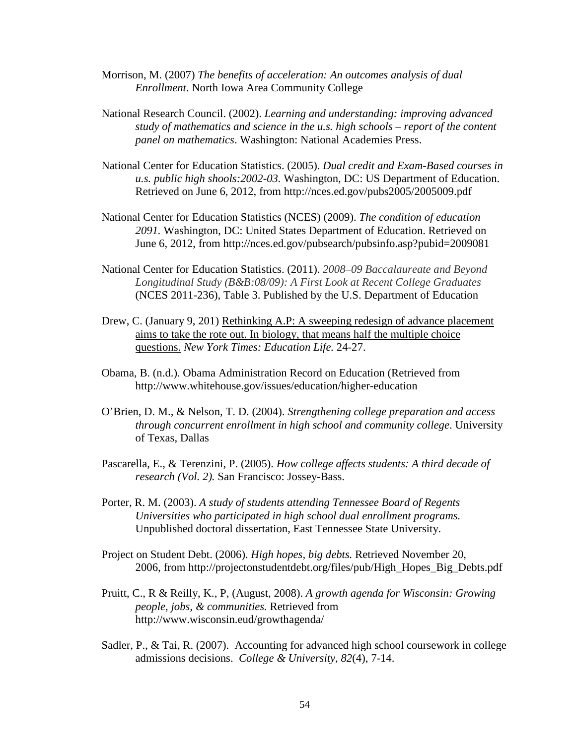- Morrison, M. (2007) *The benefits of acceleration: An outcomes analysis of dual Enrollment*. North Iowa Area Community College
- National Research Council. (2002). *Learning and understanding: improving advanced study of mathematics and science in the u.s. high schools – report of the content panel on mathematics*. Washington: National Academies Press.
- National Center for Education Statistics. (2005). *Dual credit and Exam-Based courses in u.s. public high shools:2002-03.* Washington, DC: US Department of Education. Retrieved on June 6, 2012, from http://nces.ed.gov/pubs2005/2005009.pdf
- National Center for Education Statistics (NCES) (2009). *The condition of education 2091.* Washington, DC: United States Department of Education. Retrieved on June 6, 2012, from http://nces.ed.gov/pubsearch/pubsinfo.asp?pubid=2009081
- National Center for Education Statistics. (2011). *2008–09 Baccalaureate and Beyond Longitudinal Study (B&B:08/09): A First Look at Recent College Graduates* (NCES 2011-236), Table 3. Published by the U.S. Department of Education
- Drew, C. (January 9, 201) Rethinking A.P: A sweeping redesign of advance placement aims to take the rote out. In biology, that means half the multiple choice questions. *New York Times: Education Life.* 24-27.
- Obama, B. (n.d.). Obama Administration Record on Education (Retrieved from http://www.whitehouse.gov/issues/education/higher-education
- O'Brien, D. M., & Nelson, T. D. (2004). *Strengthening college preparation and access through concurrent enrollment in high school and community college*. University of Texas, Dallas
- Pascarella, E., & Terenzini, P. (2005). *How college affects students: A third decade of research (Vol. 2).* San Francisco: Jossey-Bass.
- Porter, R. M. (2003). *A study of students attending Tennessee Board of Regents Universities who participated in high school dual enrollment programs.* Unpublished doctoral dissertation, East Tennessee State University.
- Project on Student Debt. (2006). *High hopes, big debts.* Retrieved November 20, 2006, from http://projectonstudentdebt.org/files/pub/High\_Hopes\_Big\_Debts.pdf
- Pruitt, C., R & Reilly, K., P, (August, 2008). *A growth agenda for Wisconsin: Growing people, jobs, & communities.* Retrieved from http://www.wisconsin.eud/growthagenda/
- Sadler, P., & Tai, R. (2007). Accounting for advanced high school coursework in college admissions decisions. *College & University*, *82*(4), 7-14.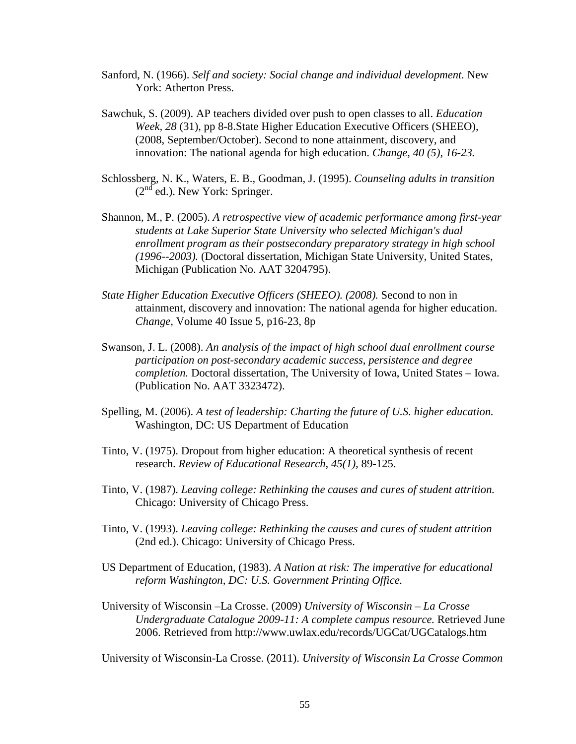- Sanford, N. (1966). *Self and society: Social change and individual development.* New York: Atherton Press.
- Sawchuk, S. (2009). AP teachers divided over push to open classes to all. *Education Week, 28* (31), pp 8-8.State Higher Education Executive Officers (SHEEO), (2008, September/October). Second to none attainment, discovery, and innovation: The national agenda for high education. *Change, 40 (5), 16-23.*
- Schlossberg, N. K., Waters, E. B., Goodman, J. (1995). *Counseling adults in transition*   $(2<sup>nd</sup>$  ed.). New York: Springer.
- Shannon, M., P. (2005). *A retrospective view of academic performance among first-year students at Lake Superior State University who selected Michigan's dual enrollment program as their postsecondary preparatory strategy in high school (1996--2003).* (Doctoral dissertation, Michigan State University, United States, Michigan (Publication No. AAT 3204795).
- *State Higher Education Executive Officers (SHEEO). (2008).* Second to non in attainment, discovery and innovation: The national agenda for higher education. *Change,* Volume 40 Issue 5, p16-23, 8p
- Swanson, J. L. (2008). *An analysis of the impact of high school dual enrollment course participation on post-secondary academic success, persistence and degree completion.* Doctoral dissertation, The University of Iowa, United States – Iowa. (Publication No. AAT 3323472).
- Spelling, M. (2006). *A test of leadership: Charting the future of U.S. higher education.* Washington, DC: US Department of Education
- Tinto, V. (1975). Dropout from higher education: A theoretical synthesis of recent research. *Review of Educational Research, 45(1),* 89-125.
- Tinto, V. (1987). *Leaving college: Rethinking the causes and cures of student attrition.* Chicago: University of Chicago Press.
- Tinto, V. (1993). *Leaving college: Rethinking the causes and cures of student attrition* (2nd ed.). Chicago: University of Chicago Press.
- US Department of Education, (1983). *A Nation at risk: The imperative for educational reform Washington, DC: U.S. Government Printing Office.*
- University of Wisconsin –La Crosse. (2009) *University of Wisconsin – La Crosse Undergraduate Catalogue 2009-11: A complete campus resource.* Retrieved June 2006. Retrieved from http://www.uwlax.edu/records/UGCat/UGCatalogs.htm

University of Wisconsin-La Crosse. (2011). *University of Wisconsin La Crosse Common*